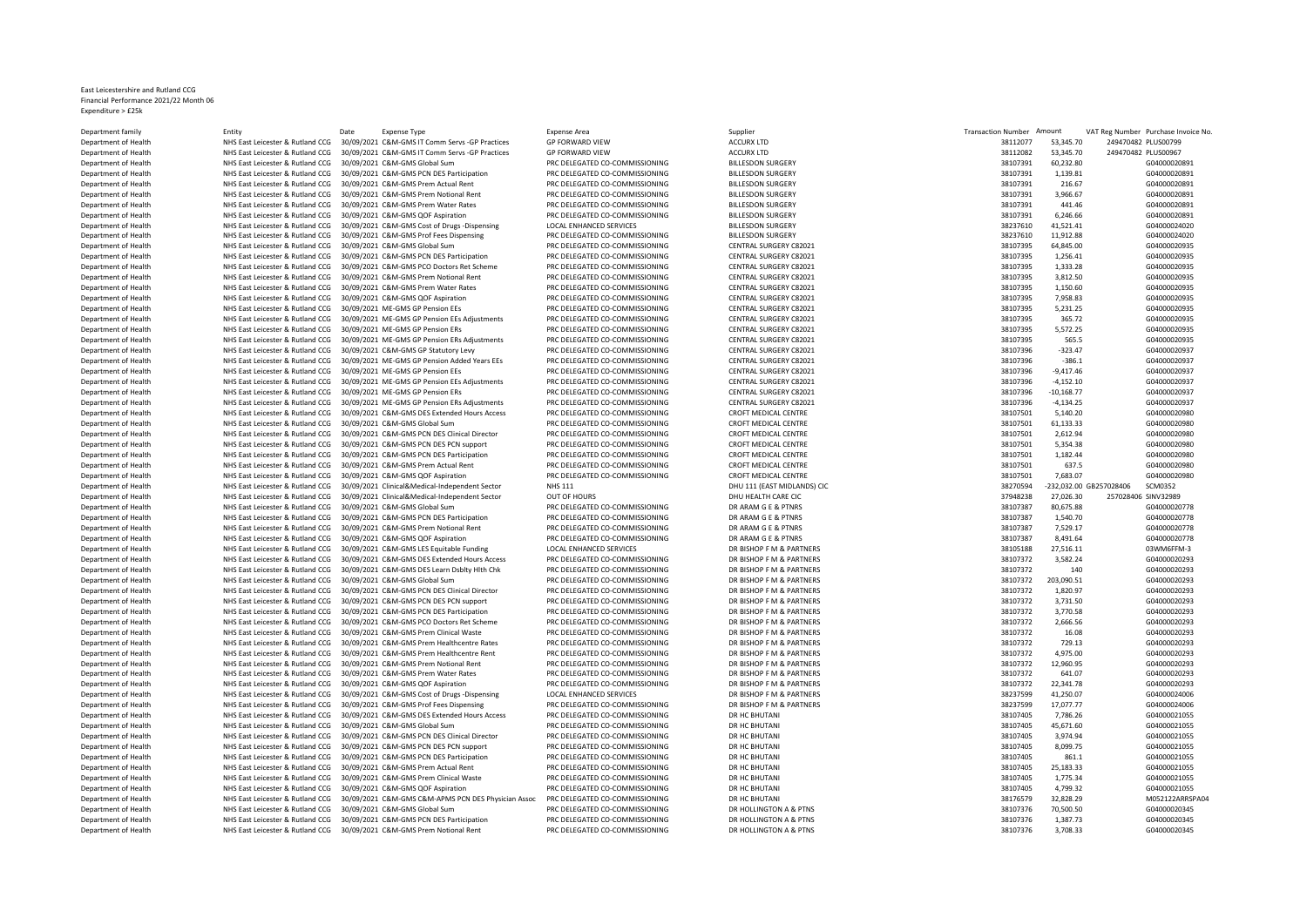## East Leicestershire and Rutland CCG Financial Performance 2021/22 Month 06 Expenditure > £25k

Department family Partment in Entity Entity Date Expense Type Expense Area Expense Area Supplier Supplier Supplier Supplier Supplier Transaction Number Amount VAT Reg Number Purchase Invoice No. Department of Health NHS East Leicester & Rutland CCG 30/09/2021 C&M-GMS IT Comm Servs -GP Practices GP FORWARD VIEW ACCURX LTD 38112077 53,347.70 2494704 2494704 2494704 2494704 2494704 2494704 2494704 2494704 2494704 249 Department of Health **NHS East Leicester & Rutland CCG 30/09/2021 C&M-GMS IT Comm Servs -GP Practices** GP FORWARD VIEW ACCURX LTD ACCURX LTD 38 ACCURX LTD 38 2494702 2494704 2494704 2494704 2494704 2494704 2494704 2494704 Department of Health NHS East Leicester & Rutland CCG 30/09/2021 C&M-GMS Global Sum PRC DELEGATED CO-COMMISSIONING BILLESDON SURGERY 38107391 60,232.80 GD EXECUTED ATTENTION CO-COMMISSIONING BILLESDON SURGERY 38107391 60,2 Department of Health **NHS East Leicester & Rutland CCG** 30/09/2021 C&M-GMS PCN DES Participation PRC DELEGATED CO-COMMISSIONING BILLESDON SURGERY 38107391 2011 COMMISSIONING BILLESDON SURGERY 38107391 1,139.81 GMS Permissi Department of Health NHS East Leicester & Rutland CCG 30/09/2021 C&M-GMS Prem Actual Rent PRC DELEGATED CO-COMMISSIONING BILLESDON SURGERY 38107391 2011 2012 2013 216.7 GDELEGATED CO-COMMISSIONING BILLESDON SURGERY 3810739 Department of Health **NHS East Leicester & Rutland CCG 30/09/2021 C&M-GMS Prem Notional Rent** PRC DELEGATED CO-COMMISSIONING BILLESDON SURGERY 38107391 3,966.67 GDESS AND THE STATED CO-COMMISSIONING BILLESDON SURGERY 38107 Department of Health **NHS East Leicester & Rutland CCG 30/09/2021 C&M-GMS Prem Water Rates** PRC DELEGATED CO-COMMISSIONING BILLESDON SURGERY 381074741 41074591 441.47 441.47 ABLESDON SURGERY 381073921 441.46 GDELEGATED COM Department of Health **MHS East Leicester & Rutland CCG** 30/09/2021 C&M-GMS QOF Aspiration PRC DELEGATED CO-COMMISSIONING BILLESDON SURGERY 38107391 6,20731 6,2476.76 BILLESDON SURGERY 38107391 6,2476.76 BILLESDON SURGERY 2 Department of Health NHS East Leicester & Rutland CCG 30/09/2021 C&M-GMS Cost of Drugs -Dispensing LOCAL ENHANCED SERVICES BILLESDON SURGERY 38237610 41,521.41 G04000024020 Department of Health **MHS East Leicester & Rutland CCG 30/09/2021 C&M-GMS Prof Fees Dispensing PRC DELEGATED CO-COMMISSIONING BILLESDON SURGERY CONTRAL SURGERY AND REALTHONING BILLESDON SURGERY CENTRAL SURGERY CENTRAL SURG** Department of Health **NHS East Leicester & Rutland CCG 30/09/2021 C&M-GMS Global Sum** PRC DELEGATED CO-COMMISSIONING CENTRAL SURGERY C82021 381074 64,845.00 GDE EATTH CO-COMMISSIONING CENTRAL SURGERY C82021 64,845.00 GDE E Department of Health MHS East Leicester & Rutland CCG 30/09/2021 C&M-GMS PCN DES Participation PRC DELEGATED CO-COMMISSIONING CENTRAL SURGERY C82021<br>Department of Health MHS East Leicester & Rutland CCG 30/09/2021 C&M-GMS Department of Health NHS East Leicester & Rutland CCG 30/09/2021 C&M-GMS PCO Doctors Ret Scheme PRC DELEGATED CO-COMMISSIONING CENTRAL SURGERY C82021 38107396 1,333.28 GDE RET ATTER ATTER ATTER ATTER ATTER ATTER ATTER ATTE Department of Health **NHS East Leicester & Rutland CCG 30/09/2021 C&M-GMS Prem Notional Rent** PRC DELEGATED CO-COMMISSIONING CENTRAL SURGERY C82021 3,812.50 CENTRAL SURGERY C82021 3,814.50 GD40002021 2,814.50 GD400002021 2 Department of Health NHS East Leicester & Rutland CCG 30/09/2021 C&M-GMS Prem Water Rates PRC DELEGATED CO-COMMISSIONING CENTRAL SURGERY C82021 381021 2011 4,150.60 CENTRAL SURGERY C82021 2,150.60 GDM EAST AND REST AT A LA Department of Health **NHS East Leicester & Rutland CCG 30/09/2021 C&M-GMS QOF Aspiration** PRC DELEGATED CO-COMMISSIONING CENTRAL SURGERY C82021 381073974 311075 831021 381075 7,958.83 GD 20101 30107391 7,958.83 GD 20101020 Department of Health **MHS East Leicester & Rutland CCG 30/09/2021 ME-GMS GP Pension EEs** PRC DELEGATED CO-COMMISSIONING CENTRAL SURGERY C82021 30109<br>Department of Health MHS East Leicester & Rutland CCG 30/09/2021 ME-GMS G Department of Health MHS East Leicester & Rutland CCG 30/09/2021 ME-GMS GP Pension EEs Adjustments PRC DELEGATED CO-COMMISSIONING CENTRAL SURGERY C82021 365.72 CENTRAL SURGERY C82021 281021 28107396 366.72 GD40000000000000 Department of Health **NHS East Leicester & Rutland CCG 30/09/2021 ME-GMS GP Pension ERS** PRC DELEGATED CO-COMMISSIONING CENTRAL SURGERY C82021 30107397 5,573.25 GD PENTRAL SURGERY C82021 39107397 5,573.25 GD PENTRAL SURGER DEPARTMENT OF HEALTH NEART OF HEALTH NEART OF CENTRAL SURGERY CANTAL SURGERY CAN AMELY AND STRUGT AND STRUGT A<br>PRC DELEGATED CO-COMMISSIONING COMMISSIONING CENTRAL SURGERY C82021 681021 CENTRAL SURGERY C82021 Department of Health NHS East Leicester & Rutland CCG 30/09/2021 C&M-GMS GP Statutory Levy PRC DELEGATED CO-COMMISSIONING CENTRAL SURGERY C82021<br>Department of Health NHS East Leicester & Rutland CCG 30/09/2021 ME-GMS GP Pe Department of Health NHS East Leicester & Rutland CCG 30/09/2021 ME-GMS GP Pension Added Years EEs PRC DELEGATED CO-COMMISSIONING Department of Health **MHS East Leicester & Rutland CCG 30/09/2021 ME-GMS GP Pension EEs** PRC DELEGATED CO-COMMISSIONING CENTRAL SURGERY C82021 38107396 -9,417.46 CENTRAL SURGERY C82021 38107396 -9,417.46 CENTRAL SURGERY C8 NHS East Leicester & Rutland CCG 30/09/2021 ME-GMS GP Pension EEs Adjustments Department of Health **MHS East Leicester & Rutland CCG 30/09/2021 ME-GMS GP Pension ERS Adjustments** PRC DELEGATED CO-COMMISSIONING CENTRAL SURGERY C82021<br>Department of Health MHS East Leicester & Rutland CCG 30/09/2021 ME Department of Health NHS East Leicester & Rutland CCG 30/09/2021 ME-GMS GP Pension ERs Adjustments PRC DELEGATED CO-COMMISSIONING CENTRAL SURGERY C820<br>Department of Health NHS East Leicester & Rutland CCG 30/09/2021 C&M-GM Department of Health NHS East Leicester & Rutland CCG 30/09/2021 C&M-GMS DES Extended Hours Access PRC DELEGATED CO-COMMISSIONING CROFT MEDICAL CENTRE 30107501 5,140.20 GDG Extended Hours Access Puring CROFT MEDICAL CENTRE Department of Health NHS East Leicester & Rutland CCG 30/09/2021 C&M-GMS Global Sum PRC DELEGATED CO-COMMISSIONING CROFT MEDICAL CENTRE SALL AND AND STALL AND STALL AND STALL AND STALL AND STALL AND STALL AND STALL AND STA Department of Health NHS East Leicester & Rutland CCG 30/09/2021 C&M-GMS PCN DES Clinical Director PRC DELEGATED CO-COMMISSIONING CROFT MEDICAL CENTRE 30.<br>Department of Health NHS East Leicester & Rutland CCG 30/09/2021 C& Department of Health NHS East Leicester & Rutland CCG 30/09/2021 C&M-GMS PCN DES PCN support PRC DELEGATED CO-COMMISSIONING CROFT MEDICAL CENTRE 381.38 GOFT MEDICAL CENTRE 381.38 GOFT MEDICAL CENTRE 381.38 GOFT MEDICAL CEN Department of Health NHS East Leicester & Rutland CCG 30/09/2021 C&M-GMS PCN DES Participation PRC DELEGATED CO-COMMISSIONING CROFT MEDICAL CENTRE 36107501 1,182.44 CROFT MEDICAL CENTRE 38107501 1,182.44 GDES AND PRODUCAL Department of Health NHS East Leicester & Rutland CCG 30/09/2021 C&M-GMS Prem Actual Rent PRC DELEGATED CO-COMMISSIONING CROFT MEDICAL CENTRE 3810751 63007501 638107501 638107501 638107501 638107501 63810751 638.5 George B Department of Health **NHS East Leicester & Rutland CCG 30/09/2021 C&M-GMS QOF Aspiration** PRC DELEGATED CO-COMMISSIONING CROFT MEDICAL CENTRE 30.07 CROFT MEDICAL CENTRE 3810761 7021 7,683.07 CROFT MEDICAL CENTRE 38111 7,68 Department of Health NHS East Leicester & Rutland CCG 30/09/2021 Clinical&Medical-Independent Sector NHS 111 CAST MIDLANDS DHU 111 (EAST MIDLANDS) CIC 30/09/2021 Clinical&Medical-Independent Sector OUT OF HOURS DHU HEALTH Department of Health NHS East Leicester & Rutland CCG 30/09/2021 Clinical&Medical-Independent Sector OUT OF HOURS DHU HEALTH CARE CIC<br>Department of Health NHS East Leicester & Rutland CCG 30/09/2021 C&M-GMS Global Sum PRC Department of Health NHS East Leicester & Rutland CCG 30/09/2021 C&M-GMS Global Sum PRC DELEGATED CO-COMMISSIONING DR ARAM G E & PTNRS 38107387 80,675.88 BEAR ARAM G E & PTNRS 3810737 8007387 80,675.88 BEAR ARAM G E & PTNR Department of Health NHS East Leicester & Rutland CCG 30/09/2021 C&M-GMS PCN DES Participation PRC DELEGATED CO-COMMISSIONING DR ARAM G E & PTNRS 38107387 1,540.70 CM ARAM G E & PTNRS 38107387 1,540.70 CM ARAM G E & PTNRS Department of Health **NHS East Leicester & Rutland CCG 30/09/2021 C&M-GMS Prem Notional Rent** PRC DELEGATED CO-COMMISSIONING DR ARAM G E & PTNRS 38107387 7,529.17 DR ARAM G E & PTNRS 38107387 7,529.17 COMMISSIONING DR ARAM Department of Health **NHS East Leicester & Rutland CCG 30/09/2021 C&M-GMS QOF Aspiration** PRC DELEGATED CO-COMMISSIONING DR ARAM G E & PTNRS DR ARAM G E & PTNRS 381, DR ARAM G E & PTNRS 38107387 8,491.64 B, 201.64 CM COM E Department of Health **NHS East Leicester & Rutland CCG 30/09/2021 C&M-GMS LES Equitable Funding LOCAL ENHANCED SERVICES DR BISHOP F M & PARTNERS DR BISHOP F M & PARTNERS 38105188 27,516.11 0305188 27,516.11 03 MM6F M-30 27** NHS East Leicester & Rutland CCG 30/09/2021 C&M-GMS DES Extended Hours Access PRC DELEGATED CO-COMMISSIONING DR<br>NHS East Leicester & Rutland CCG 30/09/2021 C&M-GMS DES Learn Dshltv Hlth Chk PRC DELEGATED CO-COMMISSIONING Department of Health NHS East Leicester & Rutland CCG 30/09/2021 C&M-GMS DES Learn Dsblty Hlth Chk PRC DELEGATED CO-COMMISSIONING DR BISHOP F M & PARTNERS Department of Health NHS East Leicester & Rutland CCG 30/09/2021 C&M-GMS Global Sum PRO DELEGATED CO-COMMISSIONING DR BISHOP F M & PARTNERS Department of Health NHS East Leicester & Rutland CCG 30/09/2021 C&M-GMS PCN DES Clinical Director PRC DELEGATED CO-COMMISSIONING DR BISHOP F M & PARTNERS 2010711 AND RESTOR F M & PARTNERS 38107372 1,820.97 CARS PCN DES PC NHS East Leicester & Rutland CCG 30/09/2021 C&M-GMS PCN DES PCN support Department of Health NHS East Leicester & Rutland CCG 30/09/2021 C&M-GMS PCN DES Participation PRC DELEGATED CO-COMMISSIONING DR BISHOP E M & PARTNERS Department of Health NHS East Leicester & Rutland CCG 30/09/2021 C&M-GMS PCO Doctors Ret Scheme PRC DELEGATED CO-COMMISSIONING DR BISHOP F M & PARTNERS 38107372 2, 266.56 GM CHATTNERS 38107372 2,666.56 CD ELEGATED CO-COMMI Department of Health NHS East Leicester & Rutland CCG 30/09/2021 C&M-GMS Prem Clinical Waste Department of Health NHS East Leicester & Rutland CCG 30/09/2021 C&M-GMS Prem Healthcentre Rates PRC DELEGATED CO-COMMISSIONING DR BISHOP F M & PARTNERS 38107372 729.13 G04000020293 NHS East Leicester & Rutland CCG 30/09/2021 C&M-GMS Prem Healthcentre Rent Department of Health NHS East Leicester & Rutland CCG 30/09/2021 C&M-GMS Prem Notional Rent PRC DELEGATED CO-COMMISSIONING DR RISHOP F M & PARTNERS Department of Health NHS East Leicester & Rutland CCG 30/09/2021 C&M-GMS Prem Water Rates PRC DELEGATED CO-COMMISSIONING DR BISHOP F M & PARTNERS PREM PROFERE A RUTLAND F M & PARTNERS 38107372 6781.07 GM & COMENCATION DR R Department of Health NHS East Leicester & Rutland CCG 30/09/2021 C&M-GMS OOF Aspiration Department of Health NHS East Leicester & Rutland CCG 30/09/2021 C&M-GMS Cost of Drugs -Dispensing LOCAL ENHANCED SERVICES DRUGS DR BISHOP F M & PARTNERS DR BISHOP F M & PARTNERS 201,250.07 AM BISHOP F M & PARTNERS 3820.09 Department of Health **NHS East Leicester & Rutland CCG 30/09/2021 C&M-GMS Prof Fees Dispensing PRC DELEGATED CO-COMMISSIONING DR BISHOP F M BR BISHOP F M & PARTNERS 2823759 17,077.7 CMS ARTHERS 3823759 17,077.7 CMS PROF FE** Department of Health **NHS East Leicester & Rutland CCG 30/09/2021 C&M-GMS DES Extended Hours Access** PRC DELEGATED CO-COMMISSIONING DR HC BHUTANI 381074071 2014 CREATED CO-COMMISSIONING DR HC BHUTANI 38107407405 7,86.26 G0 Department of Health **NHS East Leicester & Rutland CCG 30/09/2021 C&M-GMS Global Sum** PRC DELEGATED CO-COMMISSIONING DR HC BHUTANI 381074074 45,671.60 GD AND FREET ART DR HC BHUTANI 381074071 45,671.60 GD AN-GMA ENGLISED P Department of Health **NHS East Leicester & Rutland CCG** 30/09/2021 C&M-GMS PCN DES Clinical Director PRC DELEGATED CO-COMMISSIONING DR HC BHUTANI 381074.<br>Department of Health NHS East Leicester & Butland CCG 30/09/2021 C&M Department of Health **NHS East Leicester & Rutland CCG 30/09/2021 C&M-GMS PCN DES PCN support** PRC DELEGATED CO-COMMISSIONING DR HC BHUTANI 281074071 CBM-GMS PATHER PRITE PRINC DR HC BHUTANI 381074071 8,099.70 FL C BHUTANI Department of Health **NHS East Leicester & Rutland CCG 30/09/2021 C&M-GMS PCN DES Participation** PRC DELEGATED CO-COMMISSIONING DR HC BHUTANI 381074074071 CAMELEGATED CO-COMMISSIONING DR HC BHUTANI 381074074074 861.1 GD400 Department of Health **NHS East Leicester & Rutland CCG 30/09/2021 C&M-GMS Prem Actual Rent** PRC DELEGATED CO-COMMISSIONING DR HC BHUTANI 3810740741 CBHUTANI 3810740741 CBHUTANI 3810740741 CBHUTANI 3810740741 CBHUTANI 38107 Department of Health News, Andreast News, NHS East Leicester & Rutland CCG 30/09/2021 C&M-GMS Prem Clinical Waster Department of Health NHS East Leicester & Rutland CCG 30/09/2021 C&M-GMS QOF Aspiration PRC DELEGATED CO-COMMISSIONING DR HC BHUTANI Department of Health NHS East Leicester & Rutland CCG 30/09/2021 C&M-GMS C&M-APMS PCN DES Physician Assoc PRC DELEGATED CO-COMMISSIONING DR HC BHUTANI Department of Health **NHS East Leicester & Rutland CCG 30/09/2021 C&M-GMS Global Sum** PRC DELEGATED CO-COMMISSIONING DR HOLLINGTON A & PTNS وProtorionic fields the state of the alth NHS East Leicester & Rutland CCG 30/09/2 DEPARTMENT OF HEALTH NET HEALTH NET HEALTH NET HEALTH NET PARTICIPATION PROPERTY OF PARTICIPATION Department of Health NHS East Leicester & Rutland CCG 30/09/2021 C&M-GMS Prem Notional Rent PRC DELEGATED CO-COMMISSIONING DR HOLLINGTON A & PTNS

| 38112082<br>53,345.70<br>249470482 PLUS00967<br>60,232.80<br>G04000020891<br>38107391<br>38107391<br>1,139.81<br>G04000020891<br>38107391<br>216.67<br>G04000020891<br>38107391<br>3,966.67<br>G04000020891<br>38107391<br>441.46<br>G04000020891<br>38107391<br>6,246.66<br>G04000020891<br>G04000024020<br>38237610<br>41,521.41<br>38237610<br>11,912.88<br>G04000024020<br>G04000020935<br>38107395<br>64,845.00<br>38107395<br>1,256.41<br>G04000020935<br>38107395<br>1,333.28<br>G04000020935<br>38107395<br>3,812.50<br>G04000020935<br>G04000020935<br>38107395<br>1,150.60<br>38107395<br>7,958.83<br>G04000020935<br>38107395<br>G04000020935<br>5,231.25<br>G04000020935<br>38107395<br>365.72<br>38107395<br>5,572.25<br>G04000020935<br>38107395<br>565.5<br>G04000020935<br>G04000020937<br>38107396<br>$-323.47$<br>G04000020937<br>38107396<br>$-386.1$<br>G04000020937<br>38107396<br>$-9,417.46$<br>$-4,152.10$<br>G04000020937<br>38107396<br>38107396<br>$-10,168.77$<br>G04000020937<br>38107396<br>$-4,134.25$<br>G04000020937<br>38107501<br>5,140.20<br>G04000020980<br>38107501<br>61,133.33<br>G04000020980<br>38107501<br>2,612.94<br>G04000020980<br>38107501<br>5,354.38<br>G04000020980<br>38107501<br>1,182.44<br>G04000020980<br>38107501<br>637.5<br>G04000020980<br>38107501<br>7.683.07<br>G04000020980<br>-232,032.00 GB257028406<br>38270594<br><b>SCM0352</b><br>37948238<br>27,026.30<br>257028406 SINV32989<br>38107387<br>80,675.88<br>G04000020778<br>1,540.70<br>38107387<br>G04000020778<br>38107387<br>7,529.17<br>G04000020778<br>38107387<br>8,491.64<br>G04000020778<br>38105188<br>27,516.11<br>03WM6FFM-3<br>3,582.24<br>38107372<br>G04000020293<br>38107372<br>140<br>G04000020293<br>203,090.51<br>G04000020293<br>38107372<br>38107372<br>1,820.97<br>G04000020293<br>38107372<br>3,731.50<br>G04000020293<br>38107372<br>3,770.58<br>G04000020293<br>G04000020293<br>38107372<br>2,666.56<br>38107372<br>16.08<br>G04000020293<br>G04000020293<br>38107372<br>729.13<br>38107372<br>4,975.00<br>G04000020293<br>38107372<br>12,960.95<br>G04000020293<br>38107372<br>641.07<br>G04000020293<br>38107372<br>22,341.78<br>G04000020293<br>38237599<br>41,250.07<br>G04000024006<br>38237599<br>17,077.77<br>G04000024006<br>G04000021055<br>38107405<br>7,786.26<br>38107405<br>45,671.60<br>G04000021055<br>38107405<br>G04000021055<br>3,974.94<br>38107405<br>8.099.75<br>G04000021055<br>38107405<br>G04000021055<br>861.1<br>38107405<br>25.183.33<br>G04000021055<br>38107405<br>G04000021055<br>1,775.34<br>38107405<br>4,799.32<br>G04000021055<br>38176579<br>32,828.29<br>38107376<br>70,500.50<br>G04000020345<br>38107376<br>1,387.73<br>G04000020345<br>38107376<br>3,708.33<br>G04000020345 | 38112077 | 53,345.70 | 249470482 PLUS00799 |                |
|-----------------------------------------------------------------------------------------------------------------------------------------------------------------------------------------------------------------------------------------------------------------------------------------------------------------------------------------------------------------------------------------------------------------------------------------------------------------------------------------------------------------------------------------------------------------------------------------------------------------------------------------------------------------------------------------------------------------------------------------------------------------------------------------------------------------------------------------------------------------------------------------------------------------------------------------------------------------------------------------------------------------------------------------------------------------------------------------------------------------------------------------------------------------------------------------------------------------------------------------------------------------------------------------------------------------------------------------------------------------------------------------------------------------------------------------------------------------------------------------------------------------------------------------------------------------------------------------------------------------------------------------------------------------------------------------------------------------------------------------------------------------------------------------------------------------------------------------------------------------------------------------------------------------------------------------------------------------------------------------------------------------------------------------------------------------------------------------------------------------------------------------------------------------------------------------------------------------------------------------------------------------------------------------------------------------------------------------------------------------------------------------------------------------------------------------------------------------------------------------------------------------------------------------------------------------------------------------------------------------------------------------------------------------------------------------------------------------------------------------------------------------|----------|-----------|---------------------|----------------|
|                                                                                                                                                                                                                                                                                                                                                                                                                                                                                                                                                                                                                                                                                                                                                                                                                                                                                                                                                                                                                                                                                                                                                                                                                                                                                                                                                                                                                                                                                                                                                                                                                                                                                                                                                                                                                                                                                                                                                                                                                                                                                                                                                                                                                                                                                                                                                                                                                                                                                                                                                                                                                                                                                                                                                                 |          |           |                     |                |
|                                                                                                                                                                                                                                                                                                                                                                                                                                                                                                                                                                                                                                                                                                                                                                                                                                                                                                                                                                                                                                                                                                                                                                                                                                                                                                                                                                                                                                                                                                                                                                                                                                                                                                                                                                                                                                                                                                                                                                                                                                                                                                                                                                                                                                                                                                                                                                                                                                                                                                                                                                                                                                                                                                                                                                 |          |           |                     |                |
|                                                                                                                                                                                                                                                                                                                                                                                                                                                                                                                                                                                                                                                                                                                                                                                                                                                                                                                                                                                                                                                                                                                                                                                                                                                                                                                                                                                                                                                                                                                                                                                                                                                                                                                                                                                                                                                                                                                                                                                                                                                                                                                                                                                                                                                                                                                                                                                                                                                                                                                                                                                                                                                                                                                                                                 |          |           |                     |                |
|                                                                                                                                                                                                                                                                                                                                                                                                                                                                                                                                                                                                                                                                                                                                                                                                                                                                                                                                                                                                                                                                                                                                                                                                                                                                                                                                                                                                                                                                                                                                                                                                                                                                                                                                                                                                                                                                                                                                                                                                                                                                                                                                                                                                                                                                                                                                                                                                                                                                                                                                                                                                                                                                                                                                                                 |          |           |                     |                |
|                                                                                                                                                                                                                                                                                                                                                                                                                                                                                                                                                                                                                                                                                                                                                                                                                                                                                                                                                                                                                                                                                                                                                                                                                                                                                                                                                                                                                                                                                                                                                                                                                                                                                                                                                                                                                                                                                                                                                                                                                                                                                                                                                                                                                                                                                                                                                                                                                                                                                                                                                                                                                                                                                                                                                                 |          |           |                     |                |
|                                                                                                                                                                                                                                                                                                                                                                                                                                                                                                                                                                                                                                                                                                                                                                                                                                                                                                                                                                                                                                                                                                                                                                                                                                                                                                                                                                                                                                                                                                                                                                                                                                                                                                                                                                                                                                                                                                                                                                                                                                                                                                                                                                                                                                                                                                                                                                                                                                                                                                                                                                                                                                                                                                                                                                 |          |           |                     |                |
|                                                                                                                                                                                                                                                                                                                                                                                                                                                                                                                                                                                                                                                                                                                                                                                                                                                                                                                                                                                                                                                                                                                                                                                                                                                                                                                                                                                                                                                                                                                                                                                                                                                                                                                                                                                                                                                                                                                                                                                                                                                                                                                                                                                                                                                                                                                                                                                                                                                                                                                                                                                                                                                                                                                                                                 |          |           |                     |                |
|                                                                                                                                                                                                                                                                                                                                                                                                                                                                                                                                                                                                                                                                                                                                                                                                                                                                                                                                                                                                                                                                                                                                                                                                                                                                                                                                                                                                                                                                                                                                                                                                                                                                                                                                                                                                                                                                                                                                                                                                                                                                                                                                                                                                                                                                                                                                                                                                                                                                                                                                                                                                                                                                                                                                                                 |          |           |                     |                |
|                                                                                                                                                                                                                                                                                                                                                                                                                                                                                                                                                                                                                                                                                                                                                                                                                                                                                                                                                                                                                                                                                                                                                                                                                                                                                                                                                                                                                                                                                                                                                                                                                                                                                                                                                                                                                                                                                                                                                                                                                                                                                                                                                                                                                                                                                                                                                                                                                                                                                                                                                                                                                                                                                                                                                                 |          |           |                     |                |
|                                                                                                                                                                                                                                                                                                                                                                                                                                                                                                                                                                                                                                                                                                                                                                                                                                                                                                                                                                                                                                                                                                                                                                                                                                                                                                                                                                                                                                                                                                                                                                                                                                                                                                                                                                                                                                                                                                                                                                                                                                                                                                                                                                                                                                                                                                                                                                                                                                                                                                                                                                                                                                                                                                                                                                 |          |           |                     |                |
|                                                                                                                                                                                                                                                                                                                                                                                                                                                                                                                                                                                                                                                                                                                                                                                                                                                                                                                                                                                                                                                                                                                                                                                                                                                                                                                                                                                                                                                                                                                                                                                                                                                                                                                                                                                                                                                                                                                                                                                                                                                                                                                                                                                                                                                                                                                                                                                                                                                                                                                                                                                                                                                                                                                                                                 |          |           |                     |                |
|                                                                                                                                                                                                                                                                                                                                                                                                                                                                                                                                                                                                                                                                                                                                                                                                                                                                                                                                                                                                                                                                                                                                                                                                                                                                                                                                                                                                                                                                                                                                                                                                                                                                                                                                                                                                                                                                                                                                                                                                                                                                                                                                                                                                                                                                                                                                                                                                                                                                                                                                                                                                                                                                                                                                                                 |          |           |                     |                |
|                                                                                                                                                                                                                                                                                                                                                                                                                                                                                                                                                                                                                                                                                                                                                                                                                                                                                                                                                                                                                                                                                                                                                                                                                                                                                                                                                                                                                                                                                                                                                                                                                                                                                                                                                                                                                                                                                                                                                                                                                                                                                                                                                                                                                                                                                                                                                                                                                                                                                                                                                                                                                                                                                                                                                                 |          |           |                     |                |
|                                                                                                                                                                                                                                                                                                                                                                                                                                                                                                                                                                                                                                                                                                                                                                                                                                                                                                                                                                                                                                                                                                                                                                                                                                                                                                                                                                                                                                                                                                                                                                                                                                                                                                                                                                                                                                                                                                                                                                                                                                                                                                                                                                                                                                                                                                                                                                                                                                                                                                                                                                                                                                                                                                                                                                 |          |           |                     |                |
|                                                                                                                                                                                                                                                                                                                                                                                                                                                                                                                                                                                                                                                                                                                                                                                                                                                                                                                                                                                                                                                                                                                                                                                                                                                                                                                                                                                                                                                                                                                                                                                                                                                                                                                                                                                                                                                                                                                                                                                                                                                                                                                                                                                                                                                                                                                                                                                                                                                                                                                                                                                                                                                                                                                                                                 |          |           |                     |                |
|                                                                                                                                                                                                                                                                                                                                                                                                                                                                                                                                                                                                                                                                                                                                                                                                                                                                                                                                                                                                                                                                                                                                                                                                                                                                                                                                                                                                                                                                                                                                                                                                                                                                                                                                                                                                                                                                                                                                                                                                                                                                                                                                                                                                                                                                                                                                                                                                                                                                                                                                                                                                                                                                                                                                                                 |          |           |                     |                |
|                                                                                                                                                                                                                                                                                                                                                                                                                                                                                                                                                                                                                                                                                                                                                                                                                                                                                                                                                                                                                                                                                                                                                                                                                                                                                                                                                                                                                                                                                                                                                                                                                                                                                                                                                                                                                                                                                                                                                                                                                                                                                                                                                                                                                                                                                                                                                                                                                                                                                                                                                                                                                                                                                                                                                                 |          |           |                     |                |
|                                                                                                                                                                                                                                                                                                                                                                                                                                                                                                                                                                                                                                                                                                                                                                                                                                                                                                                                                                                                                                                                                                                                                                                                                                                                                                                                                                                                                                                                                                                                                                                                                                                                                                                                                                                                                                                                                                                                                                                                                                                                                                                                                                                                                                                                                                                                                                                                                                                                                                                                                                                                                                                                                                                                                                 |          |           |                     |                |
|                                                                                                                                                                                                                                                                                                                                                                                                                                                                                                                                                                                                                                                                                                                                                                                                                                                                                                                                                                                                                                                                                                                                                                                                                                                                                                                                                                                                                                                                                                                                                                                                                                                                                                                                                                                                                                                                                                                                                                                                                                                                                                                                                                                                                                                                                                                                                                                                                                                                                                                                                                                                                                                                                                                                                                 |          |           |                     |                |
|                                                                                                                                                                                                                                                                                                                                                                                                                                                                                                                                                                                                                                                                                                                                                                                                                                                                                                                                                                                                                                                                                                                                                                                                                                                                                                                                                                                                                                                                                                                                                                                                                                                                                                                                                                                                                                                                                                                                                                                                                                                                                                                                                                                                                                                                                                                                                                                                                                                                                                                                                                                                                                                                                                                                                                 |          |           |                     |                |
|                                                                                                                                                                                                                                                                                                                                                                                                                                                                                                                                                                                                                                                                                                                                                                                                                                                                                                                                                                                                                                                                                                                                                                                                                                                                                                                                                                                                                                                                                                                                                                                                                                                                                                                                                                                                                                                                                                                                                                                                                                                                                                                                                                                                                                                                                                                                                                                                                                                                                                                                                                                                                                                                                                                                                                 |          |           |                     |                |
|                                                                                                                                                                                                                                                                                                                                                                                                                                                                                                                                                                                                                                                                                                                                                                                                                                                                                                                                                                                                                                                                                                                                                                                                                                                                                                                                                                                                                                                                                                                                                                                                                                                                                                                                                                                                                                                                                                                                                                                                                                                                                                                                                                                                                                                                                                                                                                                                                                                                                                                                                                                                                                                                                                                                                                 |          |           |                     |                |
|                                                                                                                                                                                                                                                                                                                                                                                                                                                                                                                                                                                                                                                                                                                                                                                                                                                                                                                                                                                                                                                                                                                                                                                                                                                                                                                                                                                                                                                                                                                                                                                                                                                                                                                                                                                                                                                                                                                                                                                                                                                                                                                                                                                                                                                                                                                                                                                                                                                                                                                                                                                                                                                                                                                                                                 |          |           |                     |                |
|                                                                                                                                                                                                                                                                                                                                                                                                                                                                                                                                                                                                                                                                                                                                                                                                                                                                                                                                                                                                                                                                                                                                                                                                                                                                                                                                                                                                                                                                                                                                                                                                                                                                                                                                                                                                                                                                                                                                                                                                                                                                                                                                                                                                                                                                                                                                                                                                                                                                                                                                                                                                                                                                                                                                                                 |          |           |                     |                |
|                                                                                                                                                                                                                                                                                                                                                                                                                                                                                                                                                                                                                                                                                                                                                                                                                                                                                                                                                                                                                                                                                                                                                                                                                                                                                                                                                                                                                                                                                                                                                                                                                                                                                                                                                                                                                                                                                                                                                                                                                                                                                                                                                                                                                                                                                                                                                                                                                                                                                                                                                                                                                                                                                                                                                                 |          |           |                     |                |
|                                                                                                                                                                                                                                                                                                                                                                                                                                                                                                                                                                                                                                                                                                                                                                                                                                                                                                                                                                                                                                                                                                                                                                                                                                                                                                                                                                                                                                                                                                                                                                                                                                                                                                                                                                                                                                                                                                                                                                                                                                                                                                                                                                                                                                                                                                                                                                                                                                                                                                                                                                                                                                                                                                                                                                 |          |           |                     |                |
|                                                                                                                                                                                                                                                                                                                                                                                                                                                                                                                                                                                                                                                                                                                                                                                                                                                                                                                                                                                                                                                                                                                                                                                                                                                                                                                                                                                                                                                                                                                                                                                                                                                                                                                                                                                                                                                                                                                                                                                                                                                                                                                                                                                                                                                                                                                                                                                                                                                                                                                                                                                                                                                                                                                                                                 |          |           |                     |                |
|                                                                                                                                                                                                                                                                                                                                                                                                                                                                                                                                                                                                                                                                                                                                                                                                                                                                                                                                                                                                                                                                                                                                                                                                                                                                                                                                                                                                                                                                                                                                                                                                                                                                                                                                                                                                                                                                                                                                                                                                                                                                                                                                                                                                                                                                                                                                                                                                                                                                                                                                                                                                                                                                                                                                                                 |          |           |                     |                |
|                                                                                                                                                                                                                                                                                                                                                                                                                                                                                                                                                                                                                                                                                                                                                                                                                                                                                                                                                                                                                                                                                                                                                                                                                                                                                                                                                                                                                                                                                                                                                                                                                                                                                                                                                                                                                                                                                                                                                                                                                                                                                                                                                                                                                                                                                                                                                                                                                                                                                                                                                                                                                                                                                                                                                                 |          |           |                     |                |
|                                                                                                                                                                                                                                                                                                                                                                                                                                                                                                                                                                                                                                                                                                                                                                                                                                                                                                                                                                                                                                                                                                                                                                                                                                                                                                                                                                                                                                                                                                                                                                                                                                                                                                                                                                                                                                                                                                                                                                                                                                                                                                                                                                                                                                                                                                                                                                                                                                                                                                                                                                                                                                                                                                                                                                 |          |           |                     |                |
|                                                                                                                                                                                                                                                                                                                                                                                                                                                                                                                                                                                                                                                                                                                                                                                                                                                                                                                                                                                                                                                                                                                                                                                                                                                                                                                                                                                                                                                                                                                                                                                                                                                                                                                                                                                                                                                                                                                                                                                                                                                                                                                                                                                                                                                                                                                                                                                                                                                                                                                                                                                                                                                                                                                                                                 |          |           |                     |                |
|                                                                                                                                                                                                                                                                                                                                                                                                                                                                                                                                                                                                                                                                                                                                                                                                                                                                                                                                                                                                                                                                                                                                                                                                                                                                                                                                                                                                                                                                                                                                                                                                                                                                                                                                                                                                                                                                                                                                                                                                                                                                                                                                                                                                                                                                                                                                                                                                                                                                                                                                                                                                                                                                                                                                                                 |          |           |                     |                |
|                                                                                                                                                                                                                                                                                                                                                                                                                                                                                                                                                                                                                                                                                                                                                                                                                                                                                                                                                                                                                                                                                                                                                                                                                                                                                                                                                                                                                                                                                                                                                                                                                                                                                                                                                                                                                                                                                                                                                                                                                                                                                                                                                                                                                                                                                                                                                                                                                                                                                                                                                                                                                                                                                                                                                                 |          |           |                     |                |
|                                                                                                                                                                                                                                                                                                                                                                                                                                                                                                                                                                                                                                                                                                                                                                                                                                                                                                                                                                                                                                                                                                                                                                                                                                                                                                                                                                                                                                                                                                                                                                                                                                                                                                                                                                                                                                                                                                                                                                                                                                                                                                                                                                                                                                                                                                                                                                                                                                                                                                                                                                                                                                                                                                                                                                 |          |           |                     |                |
|                                                                                                                                                                                                                                                                                                                                                                                                                                                                                                                                                                                                                                                                                                                                                                                                                                                                                                                                                                                                                                                                                                                                                                                                                                                                                                                                                                                                                                                                                                                                                                                                                                                                                                                                                                                                                                                                                                                                                                                                                                                                                                                                                                                                                                                                                                                                                                                                                                                                                                                                                                                                                                                                                                                                                                 |          |           |                     |                |
|                                                                                                                                                                                                                                                                                                                                                                                                                                                                                                                                                                                                                                                                                                                                                                                                                                                                                                                                                                                                                                                                                                                                                                                                                                                                                                                                                                                                                                                                                                                                                                                                                                                                                                                                                                                                                                                                                                                                                                                                                                                                                                                                                                                                                                                                                                                                                                                                                                                                                                                                                                                                                                                                                                                                                                 |          |           |                     |                |
|                                                                                                                                                                                                                                                                                                                                                                                                                                                                                                                                                                                                                                                                                                                                                                                                                                                                                                                                                                                                                                                                                                                                                                                                                                                                                                                                                                                                                                                                                                                                                                                                                                                                                                                                                                                                                                                                                                                                                                                                                                                                                                                                                                                                                                                                                                                                                                                                                                                                                                                                                                                                                                                                                                                                                                 |          |           |                     |                |
|                                                                                                                                                                                                                                                                                                                                                                                                                                                                                                                                                                                                                                                                                                                                                                                                                                                                                                                                                                                                                                                                                                                                                                                                                                                                                                                                                                                                                                                                                                                                                                                                                                                                                                                                                                                                                                                                                                                                                                                                                                                                                                                                                                                                                                                                                                                                                                                                                                                                                                                                                                                                                                                                                                                                                                 |          |           |                     |                |
|                                                                                                                                                                                                                                                                                                                                                                                                                                                                                                                                                                                                                                                                                                                                                                                                                                                                                                                                                                                                                                                                                                                                                                                                                                                                                                                                                                                                                                                                                                                                                                                                                                                                                                                                                                                                                                                                                                                                                                                                                                                                                                                                                                                                                                                                                                                                                                                                                                                                                                                                                                                                                                                                                                                                                                 |          |           |                     |                |
|                                                                                                                                                                                                                                                                                                                                                                                                                                                                                                                                                                                                                                                                                                                                                                                                                                                                                                                                                                                                                                                                                                                                                                                                                                                                                                                                                                                                                                                                                                                                                                                                                                                                                                                                                                                                                                                                                                                                                                                                                                                                                                                                                                                                                                                                                                                                                                                                                                                                                                                                                                                                                                                                                                                                                                 |          |           |                     |                |
|                                                                                                                                                                                                                                                                                                                                                                                                                                                                                                                                                                                                                                                                                                                                                                                                                                                                                                                                                                                                                                                                                                                                                                                                                                                                                                                                                                                                                                                                                                                                                                                                                                                                                                                                                                                                                                                                                                                                                                                                                                                                                                                                                                                                                                                                                                                                                                                                                                                                                                                                                                                                                                                                                                                                                                 |          |           |                     |                |
|                                                                                                                                                                                                                                                                                                                                                                                                                                                                                                                                                                                                                                                                                                                                                                                                                                                                                                                                                                                                                                                                                                                                                                                                                                                                                                                                                                                                                                                                                                                                                                                                                                                                                                                                                                                                                                                                                                                                                                                                                                                                                                                                                                                                                                                                                                                                                                                                                                                                                                                                                                                                                                                                                                                                                                 |          |           |                     |                |
|                                                                                                                                                                                                                                                                                                                                                                                                                                                                                                                                                                                                                                                                                                                                                                                                                                                                                                                                                                                                                                                                                                                                                                                                                                                                                                                                                                                                                                                                                                                                                                                                                                                                                                                                                                                                                                                                                                                                                                                                                                                                                                                                                                                                                                                                                                                                                                                                                                                                                                                                                                                                                                                                                                                                                                 |          |           |                     |                |
|                                                                                                                                                                                                                                                                                                                                                                                                                                                                                                                                                                                                                                                                                                                                                                                                                                                                                                                                                                                                                                                                                                                                                                                                                                                                                                                                                                                                                                                                                                                                                                                                                                                                                                                                                                                                                                                                                                                                                                                                                                                                                                                                                                                                                                                                                                                                                                                                                                                                                                                                                                                                                                                                                                                                                                 |          |           |                     |                |
|                                                                                                                                                                                                                                                                                                                                                                                                                                                                                                                                                                                                                                                                                                                                                                                                                                                                                                                                                                                                                                                                                                                                                                                                                                                                                                                                                                                                                                                                                                                                                                                                                                                                                                                                                                                                                                                                                                                                                                                                                                                                                                                                                                                                                                                                                                                                                                                                                                                                                                                                                                                                                                                                                                                                                                 |          |           |                     |                |
|                                                                                                                                                                                                                                                                                                                                                                                                                                                                                                                                                                                                                                                                                                                                                                                                                                                                                                                                                                                                                                                                                                                                                                                                                                                                                                                                                                                                                                                                                                                                                                                                                                                                                                                                                                                                                                                                                                                                                                                                                                                                                                                                                                                                                                                                                                                                                                                                                                                                                                                                                                                                                                                                                                                                                                 |          |           |                     |                |
|                                                                                                                                                                                                                                                                                                                                                                                                                                                                                                                                                                                                                                                                                                                                                                                                                                                                                                                                                                                                                                                                                                                                                                                                                                                                                                                                                                                                                                                                                                                                                                                                                                                                                                                                                                                                                                                                                                                                                                                                                                                                                                                                                                                                                                                                                                                                                                                                                                                                                                                                                                                                                                                                                                                                                                 |          |           |                     |                |
|                                                                                                                                                                                                                                                                                                                                                                                                                                                                                                                                                                                                                                                                                                                                                                                                                                                                                                                                                                                                                                                                                                                                                                                                                                                                                                                                                                                                                                                                                                                                                                                                                                                                                                                                                                                                                                                                                                                                                                                                                                                                                                                                                                                                                                                                                                                                                                                                                                                                                                                                                                                                                                                                                                                                                                 |          |           |                     |                |
|                                                                                                                                                                                                                                                                                                                                                                                                                                                                                                                                                                                                                                                                                                                                                                                                                                                                                                                                                                                                                                                                                                                                                                                                                                                                                                                                                                                                                                                                                                                                                                                                                                                                                                                                                                                                                                                                                                                                                                                                                                                                                                                                                                                                                                                                                                                                                                                                                                                                                                                                                                                                                                                                                                                                                                 |          |           |                     |                |
|                                                                                                                                                                                                                                                                                                                                                                                                                                                                                                                                                                                                                                                                                                                                                                                                                                                                                                                                                                                                                                                                                                                                                                                                                                                                                                                                                                                                                                                                                                                                                                                                                                                                                                                                                                                                                                                                                                                                                                                                                                                                                                                                                                                                                                                                                                                                                                                                                                                                                                                                                                                                                                                                                                                                                                 |          |           |                     |                |
|                                                                                                                                                                                                                                                                                                                                                                                                                                                                                                                                                                                                                                                                                                                                                                                                                                                                                                                                                                                                                                                                                                                                                                                                                                                                                                                                                                                                                                                                                                                                                                                                                                                                                                                                                                                                                                                                                                                                                                                                                                                                                                                                                                                                                                                                                                                                                                                                                                                                                                                                                                                                                                                                                                                                                                 |          |           |                     |                |
|                                                                                                                                                                                                                                                                                                                                                                                                                                                                                                                                                                                                                                                                                                                                                                                                                                                                                                                                                                                                                                                                                                                                                                                                                                                                                                                                                                                                                                                                                                                                                                                                                                                                                                                                                                                                                                                                                                                                                                                                                                                                                                                                                                                                                                                                                                                                                                                                                                                                                                                                                                                                                                                                                                                                                                 |          |           |                     |                |
|                                                                                                                                                                                                                                                                                                                                                                                                                                                                                                                                                                                                                                                                                                                                                                                                                                                                                                                                                                                                                                                                                                                                                                                                                                                                                                                                                                                                                                                                                                                                                                                                                                                                                                                                                                                                                                                                                                                                                                                                                                                                                                                                                                                                                                                                                                                                                                                                                                                                                                                                                                                                                                                                                                                                                                 |          |           |                     |                |
|                                                                                                                                                                                                                                                                                                                                                                                                                                                                                                                                                                                                                                                                                                                                                                                                                                                                                                                                                                                                                                                                                                                                                                                                                                                                                                                                                                                                                                                                                                                                                                                                                                                                                                                                                                                                                                                                                                                                                                                                                                                                                                                                                                                                                                                                                                                                                                                                                                                                                                                                                                                                                                                                                                                                                                 |          |           |                     |                |
|                                                                                                                                                                                                                                                                                                                                                                                                                                                                                                                                                                                                                                                                                                                                                                                                                                                                                                                                                                                                                                                                                                                                                                                                                                                                                                                                                                                                                                                                                                                                                                                                                                                                                                                                                                                                                                                                                                                                                                                                                                                                                                                                                                                                                                                                                                                                                                                                                                                                                                                                                                                                                                                                                                                                                                 |          |           |                     |                |
|                                                                                                                                                                                                                                                                                                                                                                                                                                                                                                                                                                                                                                                                                                                                                                                                                                                                                                                                                                                                                                                                                                                                                                                                                                                                                                                                                                                                                                                                                                                                                                                                                                                                                                                                                                                                                                                                                                                                                                                                                                                                                                                                                                                                                                                                                                                                                                                                                                                                                                                                                                                                                                                                                                                                                                 |          |           |                     |                |
|                                                                                                                                                                                                                                                                                                                                                                                                                                                                                                                                                                                                                                                                                                                                                                                                                                                                                                                                                                                                                                                                                                                                                                                                                                                                                                                                                                                                                                                                                                                                                                                                                                                                                                                                                                                                                                                                                                                                                                                                                                                                                                                                                                                                                                                                                                                                                                                                                                                                                                                                                                                                                                                                                                                                                                 |          |           |                     |                |
|                                                                                                                                                                                                                                                                                                                                                                                                                                                                                                                                                                                                                                                                                                                                                                                                                                                                                                                                                                                                                                                                                                                                                                                                                                                                                                                                                                                                                                                                                                                                                                                                                                                                                                                                                                                                                                                                                                                                                                                                                                                                                                                                                                                                                                                                                                                                                                                                                                                                                                                                                                                                                                                                                                                                                                 |          |           |                     |                |
|                                                                                                                                                                                                                                                                                                                                                                                                                                                                                                                                                                                                                                                                                                                                                                                                                                                                                                                                                                                                                                                                                                                                                                                                                                                                                                                                                                                                                                                                                                                                                                                                                                                                                                                                                                                                                                                                                                                                                                                                                                                                                                                                                                                                                                                                                                                                                                                                                                                                                                                                                                                                                                                                                                                                                                 |          |           |                     |                |
|                                                                                                                                                                                                                                                                                                                                                                                                                                                                                                                                                                                                                                                                                                                                                                                                                                                                                                                                                                                                                                                                                                                                                                                                                                                                                                                                                                                                                                                                                                                                                                                                                                                                                                                                                                                                                                                                                                                                                                                                                                                                                                                                                                                                                                                                                                                                                                                                                                                                                                                                                                                                                                                                                                                                                                 |          |           |                     |                |
|                                                                                                                                                                                                                                                                                                                                                                                                                                                                                                                                                                                                                                                                                                                                                                                                                                                                                                                                                                                                                                                                                                                                                                                                                                                                                                                                                                                                                                                                                                                                                                                                                                                                                                                                                                                                                                                                                                                                                                                                                                                                                                                                                                                                                                                                                                                                                                                                                                                                                                                                                                                                                                                                                                                                                                 |          |           |                     |                |
|                                                                                                                                                                                                                                                                                                                                                                                                                                                                                                                                                                                                                                                                                                                                                                                                                                                                                                                                                                                                                                                                                                                                                                                                                                                                                                                                                                                                                                                                                                                                                                                                                                                                                                                                                                                                                                                                                                                                                                                                                                                                                                                                                                                                                                                                                                                                                                                                                                                                                                                                                                                                                                                                                                                                                                 |          |           |                     |                |
|                                                                                                                                                                                                                                                                                                                                                                                                                                                                                                                                                                                                                                                                                                                                                                                                                                                                                                                                                                                                                                                                                                                                                                                                                                                                                                                                                                                                                                                                                                                                                                                                                                                                                                                                                                                                                                                                                                                                                                                                                                                                                                                                                                                                                                                                                                                                                                                                                                                                                                                                                                                                                                                                                                                                                                 |          |           |                     |                |
|                                                                                                                                                                                                                                                                                                                                                                                                                                                                                                                                                                                                                                                                                                                                                                                                                                                                                                                                                                                                                                                                                                                                                                                                                                                                                                                                                                                                                                                                                                                                                                                                                                                                                                                                                                                                                                                                                                                                                                                                                                                                                                                                                                                                                                                                                                                                                                                                                                                                                                                                                                                                                                                                                                                                                                 |          |           |                     | M052122ARRSPA0 |
|                                                                                                                                                                                                                                                                                                                                                                                                                                                                                                                                                                                                                                                                                                                                                                                                                                                                                                                                                                                                                                                                                                                                                                                                                                                                                                                                                                                                                                                                                                                                                                                                                                                                                                                                                                                                                                                                                                                                                                                                                                                                                                                                                                                                                                                                                                                                                                                                                                                                                                                                                                                                                                                                                                                                                                 |          |           |                     |                |
|                                                                                                                                                                                                                                                                                                                                                                                                                                                                                                                                                                                                                                                                                                                                                                                                                                                                                                                                                                                                                                                                                                                                                                                                                                                                                                                                                                                                                                                                                                                                                                                                                                                                                                                                                                                                                                                                                                                                                                                                                                                                                                                                                                                                                                                                                                                                                                                                                                                                                                                                                                                                                                                                                                                                                                 |          |           |                     |                |
|                                                                                                                                                                                                                                                                                                                                                                                                                                                                                                                                                                                                                                                                                                                                                                                                                                                                                                                                                                                                                                                                                                                                                                                                                                                                                                                                                                                                                                                                                                                                                                                                                                                                                                                                                                                                                                                                                                                                                                                                                                                                                                                                                                                                                                                                                                                                                                                                                                                                                                                                                                                                                                                                                                                                                                 |          |           |                     |                |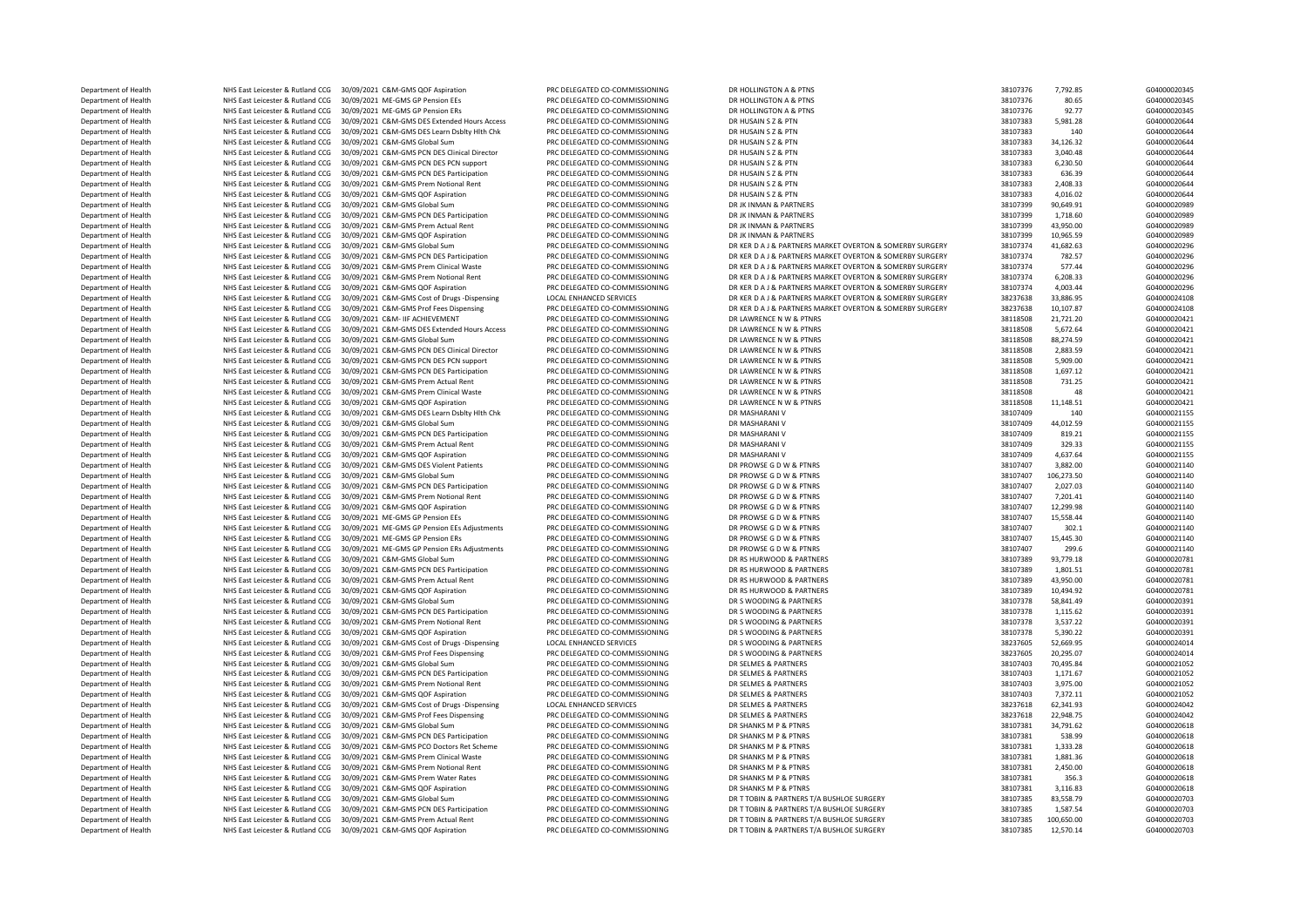Department of Health NHS East Leicester & Rutland CCG 30/09/2021 C&M-GMS Global Sum PRC DELEGATED CO-COMMISSIONING DR LAWRENCE N W & PTNRS 38118508 88,274.59 G04000020421 DEPARTMENT OF HEALTH NET HEALTH NHS EAST Leicester & Rutland CCG 30/09/2021 C&M-GMS Global Sum Department of Health Network Network Network Network Prem Water Rates Pater Rates Pater Rates Pater Rates Pater

Department of Health NHS East Leicester & Rutland CCG 30/09/2021 C&M-GMS QOF Aspiration PRC DELEGATED CO-COMMISSIONING DR HOLLINGTON A & PTNS SAN DR HOLLINGTON A PRODUCE A THE SAN DR HOLLINGTON A A PTNS 38107376 38107376 8 Department of Health NHS East Leicester & Rutland CCG 30/09/2021 ME-GMS GP Pension EEs PRC DELEGATED CO-COMMISSIONING DR HOLLINGTON A & PTNS SAN DELEGATED CO-COMMISSIONING DR HOLLINGTON A & PTNS 38107376 38107376 92.77 G04 Department of Health NHS East Leicester & Rutland CCG 30/09/2021 ME-GMS GP Pension ERs PRC DELEGATED CO-COMMISSIONING DR HOLLINGTON A & PTNS 38107376 92.77 G04000020345 Department of Health NHS East Leicester & Rutland CCG 30/09/2021 C&M-GMS DES Extended Hours Access PRC DELEGATED CO-COMMISSIONING DR HUSAIN S Z & PTN 38107383 5,981.28 G04000020644<br>Department of Health NHS East Leicester & Department of Health NHS East Leicester & Rutland CCG 30/09/2021 C&M-GMS DES Learn Dsblty Hlth Chk PRC DELEGATED CO-COMMISSIONING DR HUSAIN S Z & PTN 38107383 140 G04000020644<br>Denartment of Health NHS East Leicester & Rutl Department of Health NHS East Leicester & Rutland CCG 30/09/2021 C&M-GMS Global Sum PRC DELEGATED CO-COMMISSIONING DR HUSAIN S Z BETN 38107383 34,126.32 G04000020644<br>Department of Health NHS East Leicester & Butland CCG 20 Department of Health NHS East Leicester & Rutland CCG 30/09/2021 C&M-GMS PCN DES Clinical Director PRC DELEGATED CO-COMMISSIONING DR HUSAIN S Z & PTN 38107383 3,040.48 38107383 3,040.48 G04000020644<br>Department of Health NH Department of Health NHS East Leicester & Rutland CCG 30/09/2021 C&M-GMS PCN DES PCN support PRC DELEGATED CO-COMMISSIONING DR HUSAIN S Z & PTN 38107383 6,230.50 604000020644<br>Department of Health NHS East Leicester & Rutla Department of Health NHS East Leicester & Rutland CCG 30/09/2021 C&M-GMS PCN DES Participation PRC DELEGATED CO-COMMISSIONING DR HUSAIN S Z & PTN 38107383 636.39 G04000020644<br>December of Health NHS East Leicester & Butland Department of Health NHS East Leicester & Rutland CCG 30/09/2021 C&M-GMS Prem Notional Rent PRC DELEGATED CO-COMMISSIONING DR HUSAIN S Z & PTN 38107383 2,408.33 G04000020644<br>Department of Health NHS East Leicester & Rutlan Department of Health NHS East Leicester & Rutland CCG 30/09/2021 C&M-GMS QOF Aspiration PRC DELEGATED CO-COMMISSIONING DR HUSAIN S Z BR PTN 38107383 4,016.02 604000020644<br>Department of Health NHS East Leicester & Butland C Department of Health NHS East Leicester & Rutland CCG 30/09/2021 C&M-GMS Global Sum PRC DELEGATED CO-COMMISSIONING DR JK INMAN & PARTNERS 38107399 90,649.91 90,649.91 G04000020989 Department of Health NHS East Leicester & Rutland CCG 30/09/2021 C&M-GMS PCN DES Participation PRC DELEGATED CO-COMMISSIONING DR JK INMAN & PARTNERS 3810799 1,718.60 38107399 1,718.60 604000020989 1,718.60 604000020989 1,7 ية Department of Health NHS East Leicester & Rutland CCG 30/09/2021 C&M-GMS Prem Actual Rent PRC DELEGATED CO-COMMISSIONING DR JK INMAN & PARTNERS 38107399 43,950.00 604000020989 43,950.00 604000020989 43,950.00 6040000 Department of Health NHS East Leicester & Rutland CCG 30/09/2021 C&M-GMS QOF Aspiration PRC DELEGATED CO-COMMISSIONING DR JK INMAN & PARTNERS MARKET OVERTON & SOMERPY SIRGERY 38107399 10,965.59 G04000020989 10,965.59 G0400 Department of Health NHS East Leicester & Rutland CCG 30/09/2021 C&M-GMS Global Sum PRC DELEGATED CO-COMMISSIONING DR KER DA J & PARTNERS MARKET OVERTON & SOMERBY SURGERY 38107374 41,682.63 G04000020296 G04000020296 G04000 Department of Health NHS East Leicester & Rutland CCG 30/09/2021 C&M-GMS PCN DES Participation PRC DELEGATED CO-COMMISSIONING DR KER DA J & PARTNERS MARKET OVERTON & SOMERBY SURGERY 38107374 782.57 (604000020296<br>Department Department of Health NHS East Leicester & Rutland CCG 30/09/2021 C&M-GMS Prem Clinical Waste PRC DELEGATED CO-COMMISSIONING DR KER DAJ & PARTNERS MARKET OVERTON & SOMERBY SURGERY 38107374 577.44 604000020296<br>Department of Department of Health NHS East Leicester & Rutland CCG 30/09/2021 C&M-GMS Prem Notional Rent PRC DELEGATED CO-COMMISSIONING DR KER DA J & PARTNERS MARKET OVERTON & SOMERBY SURGERY 38107374 6,208.33 G04000020296 G04000020296 Department of Health NHS East Leicester & Rutland CCG 30/09/2021 C&M-GMS QOF Aspiration PRC DELEGATED CO-COMMISSIONING DR KER DA J& PARTNERS MARKET OVERTON & SOMERBY SURGERY 38207374 4,003.44 604000020296<br>Department of Hea NHS East Leicester & Rutland CCG 30/09/2021 C&M-GMS Cost of Drugs -Dispensing LOCAL ENHANCED SERVICES DR KER DAI & PARTNERS MARKET OVERTON & SOMERBY SURGERY 38237638 33,886.95 G04000024108 CO4000024108 DR COLOR DR COLOR DR Department of Health NHS East Leicester & Rutland CCG 30/09/2021 C&M-GMS Prof Fees Dispensing PRC DELEGATED CO-COMMISSIONING DR KER DA J & PARTNERS MARKET OVERTON & SOMERBY SURGERY 38237638 10,107.87 G04000024108 DR LAWREN Department of Health NHS East Leicester & Rutland CCG 30/09/2021 C&M- IIF ACHIEVEMENT PRC DELEGATED CO-COMMISSIONING DR LAWRENCE N W & PTNRS 38118508 21,721.20 38118508 21,721.20 60400020421 CBL AVRENCE N W & PTNRS 201421 مية المستشر لوسية المستشر للمستشر المستشر المستشر المستشركين والمستشركين والمستشركين المستشركين والمستشركين والمستشركين والمستشركين والمستشركين والمستشركين والمستشركين والمستشركين والمستشركين والمستشركين والمستشركين وال Department of Health NHS East Leicester & Rutland CCG 30/09/2021 C&M-GMS PCN DES Clinical Director PRC DELEGATED CO-COMMISSIONING DR LAWRENCE N W & PTNRS 38118508 2,883.59 38118508 2,883.59 G04000020421 Department of Health NHS East Leicester & Rutland CCG 30/09/2021 C&M-GMS PCN DES PCN support PRC DELEGATED CO-COMMISSIONING DR LAWRENCE N W & PTNRS 38118508 5,909.00 5,009.00 60400002021 Department of Health NHS East Leicester & Rutland CCG 30/09/2021 C&M-GMS PCN DES Participation PRC DELEGATED CO-COMMISSIONING DR LAWRENCE N W & PTNRS 30118508 38118508 1,697.12 604000020421 604000020421 CHE RED RED RED RED Department of Health NHS East Leicester & Rutland CCG 30/09/2021 C&M-GMS Prem Actual Rent PRC DELEGATED CO-COMMISSIONING DR LAWRENCE N W & PTNRS 38118508 731.25 Department of Health NHS East Leicester & Rutland CCG 30/09/2021 C&M-GMS Prem Clinical Waste PRC DELEGATED CO-COMMISSIONING DR LAWRENCE N W & PTNRS 38118508 48 38118508 48 G04000020421 Department of Health NHS East Leicester & Rutland CCG 30/09/2021 C&M-GMS QOF Aspiration PRC DELEGATED CO-COMMISSIONING DR LAWRENCE N W & PTNRS 38118508 11,148.51 504000020421 GO4000020421 EAST DR LAWRENCE NU ALTHOR ASPIRAT Department of Health NHS East Leicester & Rutland CCG 30/09/2021 C&M-GMS DES Learn Dsblty Hlth Chk PRC DELEGATED CO-COMMISSIONING DR MASHARANI V 38107409 38107409 140 G04000021155 Department of Health NHS East Leicester & Rutland CCG 30/09/2021 C&M-GMS Global Sum PRC DELEGATED CO-COMMISSIONING DR MASHARANI V 38107409 44,012.59 G04000021155 Department of Health NHS East Leicester & Rutland CCG 30/09/2021 C&M-GMS PCN DES Participation PRC DELEGATED CO-COMMISSIONING DR MASHARANI V 38107409 819.21 38107409 819.21 604000021155<br>Department of Health NHS East Leices Department of Health NHS East Leicester & Rutland CCG 30/09/2021 C&M-GMS Prem Actual Rent PRC DELEGATED CO-COMMISSIONING DR MASHARANI V 38107409 329.33 G04000021155 Department of Health NHS East Leicester & Rutland CCG 30/09/2021 C&M-GMS QOF Aspiration PRC DELEGATED CO-COMMISSIONING DR MASHARANI V 379 20000021155 28107409 4,637.64 604000021155 201000021155 2010 20100021140 20100021140 0 NHS East Leicester & Rutland CCG 30/09/2021 C&M-GMS DES Violent Patients PRC DELEGATED CO-COMMISSIONING DR PROWSE G DW & PTNRS 38107407 3,882.00 G04000021140 G04000021140 SALCHARE ARREST COMMISSIONING DR PROWSE G DW & PT Department of Health NHS East Leicester & Rutland CCG 30/09/2021 C&M-GMS Global Sum PRC DELEGATED CO-COMMISSIONING DR PROWSE G DW & PTNRS 38107407 106,273.50 G04000021140<br>Department of Health NHS East Leicester & Rutland C Department of Health NHS East Leicester & Rutland CCG 30/09/2021 C&M-GMS PCN DES Participation PRC DELEGATED CO-COMMISSIONING DR PROWSE G D W & PTNRS 38107407 2,027.03 38107407 2,027.03 604000021140 2.027.03 COMMISSIONING Department of Health NHS East Leicester & Rutland CCG 30/09/2021 C&M-GMS Prem Notional Rent PRC DELEGATED CO-COMMISSIONING DR PROWSE G D.W & PTNRS 38107407 7,201.41 G04000021140 G04000021140<br>Department of Health NHS East L Department of Health NHS East Leicester & Rutland CCG 30/09/2021 C&M-GMS QOF Aspiration PRC DELEGATED CO-COMMISSIONING DR PROWSE G DW & PTNRS 38107407 12,299.98 58107407 12,299.98 604000021140<br>Department of Health NHS East Perartment of Health MHS East Leicester & Rutland CCG 30/09/2021 ME-GMS GP Pension EEs PRC DE PROWS PER DE DE DE PROWSE DW & PTNRS 38107407 38107407 15,558.44 G04000021140<br>Denotment of Health MHS East Leicester & Butlan Department of Health NHS East Leicester & Rutland CCG 30/09/2021 ME-GMS GP Pension EEs Adjustments PRC DELEGATED CO-COMMISSIONING DR PROWSE G D W & PTNRS 30 20100021140 302.1 504000021140<br>Department of Health NHS East Leic Department of Health NHS East Leicester & Rutland CCG 30/09/2021 ME-GMS GP Pension ERS Adjustments PRC DELEGATED CO-COMMISSIONING DR PROWSE G DW & PTNRS 38107407 15,445.30 G0400021140<br>Department of Health NHS East Leiceste Department of Health NHS East Leicester & Rutland CCG 30/09/2021 ME-GMS GP Pension ERS Adjustments PRC DELEGATED CO-COMMISSIONING DR PROWSE G DW & PTNRS 3010 209.00 38107407 299.6 G04000021140<br>Department of Health NHS East Department of Health NHS East Leicester & Rutland CCG 30/09/2021 C&M-GMS PCN DES Participation PRC DELEGATED CO-COMMISSIONING DR RS HURWOOD & PARTNERS 38107389 1,801.51 (G04000020781 Department of Health NHS East Leicester & Rutland CCG 30/09/2021 C&M-GMS Prem Actual Rent PRC DELEGATED CO-COMMISSIONING DR RS HURWOOD & PARTNERS 38107389 43,950.00 GD G04000020781 GD G04000020781 Department of Health NHS East Leicester & Rutland CCG 30/09/2021 C&M-GMS QOF Aspiration PRC DELEGATED CO-COMMISSIONING DR RS HURWOOD & PARTNERS 3810738 SARTALERS 38107378 58,841.49 G040002020391 COMOOD20391 COMOOD20391 COM NHS East Leicester & Rutland CCG 30/09/2021 C&M-GMS Global Sum PRC DELEGATED CO-COMMISSIONING DR S WOODING & PARTNERS 38107378 Department of Health NHS East Leicester & Rutland CCG 30/09/2021 C&M-GMS PCN DES Participation PRC DELEGATED CO-COMMISSIONING DR S WOODING & PARTNERS 38107378 1,115.62 G04000020391 Department of Health NHS East Leicester & Rutland CCG 30/09/2021 C&M-GMS Prem Notional Rent PRC DELEGATED CO-COMMISSIONING DR S WOODING & PARTNERS 38107378 3537.22 G04000020391 Department of Health NHS East Leicester & Rutland CCG 30/09/2021 C&M-GMS QDE Aspiration PRC DELEGATED CO-COMMISSIONING DR S WOODING & PARTNERS 38107378 5,390.22 5,390.22 G04000020391 Department of Health MHS East Leicester & Rutland CCG 30/09/2021 C&M-GMS Cost of Drugs -Dispensing LOCAL ENHANCED SERVICES DR S WOODING & PARTNERS 30237605 52,669.95 52,669.95 G04000024014<br>Department of Health MHS East Lei Department of Health NHS East Leicester & Rutland CCG 30/09/2021 C&M-GMS Prof Fees Dispensing PRC DELEGATED CO-COMMISSIONING DR S WOODING & PARTNERS 2000000 2014 20:237605 Department of Health NHS East Leicester & Rutland CCG 30/09/2021 C&M-GMS Global Sum PRC DELEGATED CO-COMMISSIONING DR SELMES & PARTNERS 38107403 70,495.84 38107403 70,495.84 G04000021052 Department of Health NHS East Leicester & Rutland CCG 30/09/2021 C&M-GMS PCN DES Participation PRC DELEGATED CO-COMMISSIONING DR SELMES & PARTNERS 38107403 38107403 1,171.67 G04000021052 Department of Health NHS East Leicester & Rutland CCG 30/09/2021 C&M-GMS Prem Notional Rent PRC DELEGATED CO-COMMISSIONING DR SELMES & PARTNERS 38107403 38107403 3,975.00 G04000021052 Department of Health NHS East Leicester & Rutland CCG 30/09/2021 C&M-GMS QOF Aspiration PRC DELEGATED CO-COMMISSIONING DR SELMES & PARTNERS 38107403 7,372.11 38207618 38107403 7,372.11 604000021052 38107402 106 106 1074 01 Department of Health MHS East Leicester & Rutland CCG 30/09/2021 C&M-GMS Cost of Drugs -Dispensing LOCAL ENHANCED SERVICES DR SELMES & PARTNERS 2010 2010 2012 38237618 62,341.93 604000024042<br>Department of Health MHS East L Department of Health NHS East Leicester & Rutland CCG 30/09/2021 C&M-GMS Prof Fees Dispensing PRC DELEGATED CO-COMMISSIONING DR SELMES & PARTNERS 38237618 22,948.75 G04000024042<br>Department of Health NHS East Leicester & Bu Department of Health NHS East Leicester & Rutland CCG 30/09/2021 C&M-GMS Global Sum PRC DELEGATED CO-COMMISSIONING DR SHANKS M P & PTNRS 38107381 34,791.62 G04000020618<br>Department of Health NHS East Leicester & Rutland CCG 00002021 CAM-GMS PCN DES Participation PRC DELEGATED CO-COMMISSIONING DR SHANKS M P & PTNRS 38107381 538.99 G04000020618<br>PRE East Leicester & Rutland CCG 30/09/2021 C&M-GMS PC Dector Ret Schopes Represent DR DELEGATED CO C Department of Health NHS East Leicester & Rutland CCG 30/09/2021 C&M-GMS PCO Doctors Ret Scheme PRC DELEGATED CO-COMMISSIONING DR SHANKS M P & PTNRS STANKS M P & PTNRS 38107381 1,333.28 G04000020618<br>Department of Health NH Department of Health NHS East Leicester & Rutland CCG 30/09/2021 C&M-GMS Prem Clinical Waste PRC DELEGATED CO-COMMISSIONING DR SHANKS M P & PTNRS 38107381 1,881.36 G04000020618 G04000020618<br>Department of Health NHS East Le  $\begin{array}{lllllllllll} \textbf{Department of Health} & \textbf{NHS} & \textbf{Test} & \textbf{Best} & \textbf{Electron} & \textbf{OR} & \textbf{New AMS} & \textbf{New AMS} & \textbf{New BMS} & \textbf{New BMS} & \textbf{W} & \textbf{RMS} & \textbf{New BMS} & \textbf{W} & \textbf{RMS} & \textbf{W} & \textbf{RMS} & \textbf{W} & \textbf{RMS} & \textbf{W} & \textbf{RMS} & \textbf{W} & \textbf{RMS} & \textbf{W} & \textbf{RMS} & \textbf{W} & \textbf$ Department of Health NHS East Leicester & Rutland CCG 30/09/2021 C&M-GMS OOF Aspiration PRC DELEGATED CO-COMMISSIONING DR SHANKS M P & PTNRS 38107381 3,116.83 G04000020618 Department of Health NHS East Leicester & Rutland CCG 30/09/2021 C&M-GMS Global Sum PRC DELEGATED CO-COMMISSIONING DR T TOBIN & PARTNERS T/A BUSHLOE SURGERY 38107385 83,558.79 GO4000020703 Department of Health NHS East Leicester & Rutland CCG 30/09/2021 C&M-GMS PCN DES Participation PRC DELEGATED CO-COMMISSIONING DR TTOBIN & PARTNERS T/A BUSHLOE SURGERY 38107385 1,587.54 G0400020703 38107385 1,587.54 G040002 Department of Health NHS East Leicester & Rutland CCG 30/09/2021 C&M-GMS Prem Actual Rent PRC DELEGATED CO-COMMISSIONING DR T TOBIN & PARTNERS T/A BUSHLOE SURGERY 38107385 Department of Health NHS East Leicester & Rutland CCG 30/09/2021 C&M-GMS OOF Aspiration PRC DELEGATED CO-COMMISSIONING DR T TOBIN & PARTNERS T/A BUSHLOE SURGERY 38107385 12,570.14 G04000020703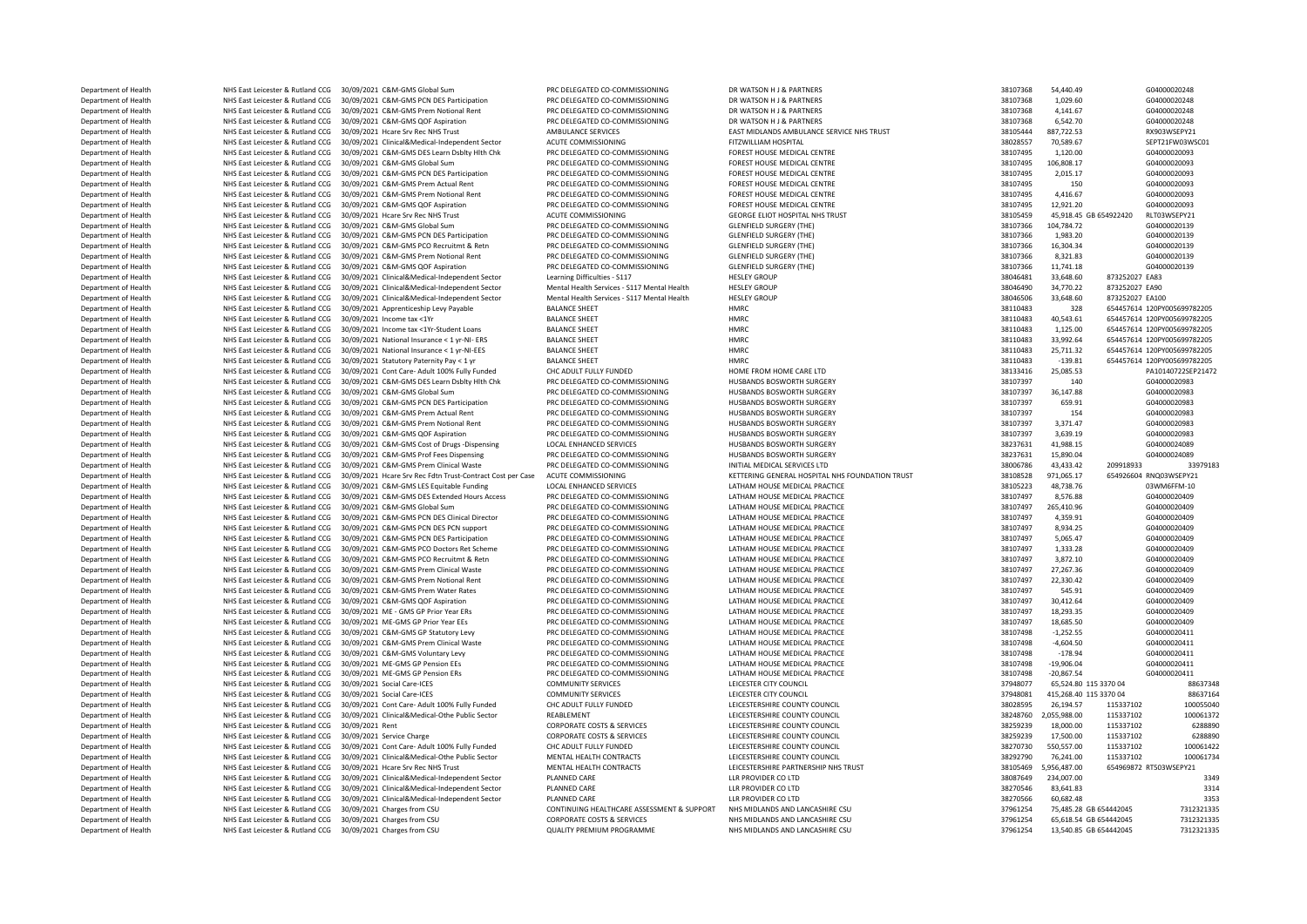Department of Health NHS East Leicester & Rutland CCG 30/09/2021 C&M-GMS Global Sum PRC DELEGATED CO-COMMISSIONING DR WATSON H & PARTNERS 38107368 54,440.49 54,440.49 G04000020248<br>Department of Health NHS East Leicester & Department of Health NHS East Leicester & Rutland CCG 30/09/2021 C&M-GMS PCN DES Participation PRC DELEGATED CO-COMMISSIONING DR WATSON H & PARTNERS 38107368 1,029.60 604000020248<br>Department of Health NHS East Leicester & Department of Health NHS East Leicester & Rutland CCG 30/09/2021 C&M-GMS Prem Notional Rent PRC DELEGATED CO-COMMISSIONING DR WATSON H & PARTNERS 38107368 4,141.67 38107368 4,141.67 G04000020248<br>Department of Health NHS E Department of Health NHS East Leicester & Rutland CCG 30/09/2021 C&M-GMS QOF Aspiration PRC DELEGATED CO-COMMISSIONING DR WATSON H & PARTNERS 38107368 6,542.70 604000020248 66.92.70 604000020248 9.93.1075 6.93.107 10000020 Department of Health NHS East Leicester & Rutland CCG 30/09/2021 Hcare Srv Rec NHS Trust AMBULANCE SERVICES EAST MIDLANDS AMBULANCE SERVICE NHS TRUST 38105444 887,722.53 RX903WSEPY21 Department of Health NHS East Leicester & Rutland CCG 30/09/2021 Clinical&Medical-Independent Sector ACUTE COMMISSIONING FITZWILLIAM HOSPITAL 38028557 70,589.67 SEPT21FW03WSC01 SEPT21FW03WSC01 Department of Health NHS East Leicester & Rutland CCG 30/09/2021 C&M-GMS DES Learn Dsblty Hlth Chk PRC DELEGATED CO-COMMISSIONING FOREST HOUSE MEDICAL CENTRE 38107495 1,120.00 G04000020093<br>Department of Health NHS East Lei Department of Health NHS East Leicester & Rutland CCG 30/09/2021 C&M-GMS Global Sum PRC DELEGATED CO-COMMISSIONING FOREST HOUSE MEDICAL CENTRE 38107495 106,808.17 38107495 106,808.17 G04000020093<br>Department of Health NHS E Department of Health NHS East Leicester & Rutland CCG 30/09/2021 C&M-GMS PCN DES Participation PRC DELEGATED CO-COMMISSIONING FOREST HOUSE MEDICAL CENTRE 38107495 2,015.17 G04000020093<br>Decessional Centre of Health NHS East Department of Health NHS East Leicester & Rutland CCG 30/09/2021 C&M-GMS Prem Actual Rent PRC DELEGATED CO-COMMISSIONING FOREST HOUSE MEDICAL CENTRE 38107495 150 38107495 150 G0400020093<br>Department of Health NHS East Leice Department of Health NHS East Leicester & Rutland CCG 30/09/2021 C&M-GMS Prem Notional Rent PRC DELEGATED CO-COMMISSIONING FOREST HOUSE MEDICAL CENTRE 38107495 4,416.67 G0400020093<br>Department of Health NHS East Leicester & Department of Health NHS East Leicester & Rutland CCG 30/09/2021 C&M-GMS QOF Aspiration PRC DELEGATED CO-COMMISSIONING FOREST HOUSE MEDICAL CENTRE 300000 38107495 12,921.20 604000020093<br>Department of Health NHS East Leices Department of Health NHS East Leicester & Rutland CCG 30/09/2021 Hcare Srv Rec NHS Trust ACUTE COMMISSIONING GEORGE ELIOT HOSPITAL NHS TRUST ACUTE COMMISSIONING GEORGE ELIOT HOSPITAL NHS TRUST 45 AND 19930426 45,918.45 GB ية Department of Health MHS East Leicester & Rutland CCG 30/09/2021 C&M-GMS Global Sum PRC DELEGATED CO-COMMISSIONING GLENFIELD SURGERY (THE) 38107366 104,784.72 G04000020139 G04000020139 G04000020139 CNACH CHE COMMISSI Department of Health NHS East Leicester & Rutland CCG 30/09/2021 C&M-GMS PCN DES Participation PRC DELEGATED CO-COMMISSIONING GLENFIELD SURGERY (THE) 38107366 1,983.20 58107366 1,983.20 58107366 1,983.20 604000020139 19 10 Department of Health NHS East Leicester & Rutland CCG 30/09/2021 C&M-GMS PCO Recruitmt & Retn PRC DELEGATED CO-COMMISSIONING GLENFIELD SURGERY (THE) 38107366 16,304.34 G04000020139 G04000020139 GLENFIELD SURGERY (THE PRESE Department of Health NHS East Leicester & Rutland CCG 30/09/2021 C&M-GMS Prem Notional Rent PRC DELEGATED CO-COMMISSIONING GLENFIELD SURGERY (THE) 38107366 8,321.83 604000020139 604000020139<br>Department of Health NHS East L Department of Health MHS East Leicester & Rutland CCG 30/09/2021 C&M-GMS QOF Aspiration PRC DELEGATED CO-COMMISSIONING GLENFIELD SURGERY (THE) 38107365 11,741.18 38107366 11,741.18 G040<br>Department of Health NHS East Leices Department of Health NHS East Leicester & Rutland CCG 30/09/2021 Clinical&Medical-Independent Sector Learning Difficulties - S117 HESLEY GROUP 38046481 33,648.60 873252027 EA83 Department of Health NHS East Leicester & Rutland CCG 30/09/2021 Clinical&Medical-Independent Sector Mental Health Services - S117 Mental Health HESLEY GROUP ALS ARE SERVICES SALETH ARE SERVICES AND SALETH SERVICE SALETH S Pepartment of Health MHS East Leicester & Rutland CCG 30/09/2021 Clinical&Medical-Independent Sector Mental Health HESLEY GROUP and the Services - S117 Mental Health HESLEY GROUP 38046506 33,648.60 873252027 EA100<br>Depar  $\begin{tabular}{c|c|c|c|c|c|c|c} \multicolumn{4}{c|c|c|c} \multicolumn{4}{c|c|c} \multicolumn{4}{c|c|c} \multicolumn{4}{c|c|c} \multicolumn{4}{c|c|c} \multicolumn{4}{c|c|c} \multicolumn{4}{c|c|c} \multicolumn{4}{c|c|c} \multicolumn{4}{c|c|c} \multicolumn{4}{c|c|c} \multicolumn{4}{c|c|c} \multicolumn{4}{c|c|c} \multicolumn{4}{c|c|c} \multicolumn{4}{c|c|c} \multicolumn{4}{c|c|c} \mult$ Department of Health NHS East Leicester & Rutland CCG 30/09/2021 Income tax <1Yr BALANCE SHEET HMRC 38110483 40,543.61 654457614 120PY005699782205 Department of Health NHS East Leicester & Rutland CCG 30/09/2021 Income tax <1Yr-Student Loans BALANCE SHEET HMRC 38110483 1,125.00 654457614 120PY005699782205 NHS East Leicester & Rutland CCG 30/09/2021 National Insurance < 1 yr-NI- ERS BALANCE SHEET HMRC HEART ANN CONTROLL AND RESULTED A SALION OF THE SECURE OF A LATER SECURE A RUTLANCE SHEET HARC AND RESULTED A LATER SECURE A Department of Health NHS East Leicester & Rutland CCG 30/09/2021 National Insurance < 1 yr-NI-EES BALANCE SHEET HMRC HMRC 38110483 25.711.32 65.711.32 Department of Health NHS East Leicester & Rutland CCG 30/09/2021 Statutory Paternity Pay < 1 yr BALANCE SHEET HMRC 30.00 100 ECC ADULT FULLY FUNDED HOME FROM HOME CARE LTD 38133416 25.085.53 PA101407225EP2147.<br>Department Department of Health NHS East Leicester & Rutland CCG 30/09/2021 Cont Care- Adult 100% Fully Funded CHC ADULT FULLY FUNDED HOME CARE ADURT ADURT ENCOUNT FULLY FUNDED HOME ON HOME FROM HOME CARE LTD 38133416 25,085.53 PA101 NHS East Leicester & Rutland CCG 30/09/2021 C&M-GMS DES Learn Dsblty Hlth Chk PRC DELEGATED CO-COMMISSIONING HUSBANDS BOSWORTH SURGERY 38107397 140 Department of Health NHS East Leicester & Rutland CCG 30/09/2021 C&M-GMS Global Sum PRC DELEGATED CO-COMMISSIONING HUSBANDS BOSWORTH SURGERY STAND AND 18107397 36,147.88 60400020983 GO4000220983 (Department of Health NHS E Department of Health NHS East Leicester & Rutland CCG 30/09/2021 C&M-GMS PCN DES Participation PRC DELEGATED CO-COMMISSIONING HUSBANDS BOSWORTH SURGERY 38107397 559.91 604000020983<br>Department of Health NHS East Leicester & Department of Health NHS East Leicester & Rutland CCG 30/09/2021 C&M-GMS Prem Actual Rent PRC DELEGATED CO-COMMISSIONING HUSBANDS BOSWORTH SURGERY 38107397 154 G04000020983 Department of Health NHS East Leicester & Rutland CCG 30/09/2021 C&M-GMS Prem Notional Rent PRC DELEGATED CO-COMMISSIONING HUSBANDS BOSWORTH SURGERY 38107397 3,371.47 604000020983<br>Department of Health NHS East Leicester & Department of Health NHS East Leicester & Rutland CCG 30/09/2021 C&M-GMS QOF Aspiration PRC DELEGATED CO-COMMISSIONING HUSBANDS BOSWORTH SURGERY 36107397 3,639.19 58237631 38207397 3,639.19 604000020983<br>Department of Healt Department of Health NHS East Leicester & Rutland CCG 30/09/2021 C&M-GMS Cost of Drugs -Dispensing LOCAL ENHANCED SERVICES HUSBANDS BOSWORTH SURGERY 38237631 41,988.15 G04000024089<br>Department of Health NHS Eart Leicester & Department of Health NHS East Leicester & Rutland CCG 30/09/2021 C&M-GMS Prof Fees Dispensing PRC DELEGATED CO-COMMISSIONING HUSBANDS BOSWORTH SURGERY STEP 2000 200000014089 (38237631 15,890.04 604000024089 ) (39237632 (39 Department of Health NHS East Leicester & Rutland CCG 30/09/2021 C&M-GMS Prem Clinical Waste PRC DELEGATED CO-COMMISSIONING INITIAL MEDICAL SERVICES LTD 38006786 43,433.42 209918933 339<br>Department of Health NHS East Leices Department of Health NHS East Leicester & Rutland CCG 30/09/2021 Hcare Srv Rec Fdtn Trust-Contract Cost per Case ACUTE COMMISSIONING KETTERING GENERAL HOSPITAL NHS FOUNDATION TRUST 38108528 971,065.17 654926604 RNQ03WSEPY2 Department of Health NHS East Leicester & Rutland CCG 30/09/2021 C&M-GMS LES Equitable Funding LOCAL ENHANCED SERVICES LATHAM HOUSE MEDICAL PRACTICE 38105223 48,738.76 38105223 48,738.76 03WM6FFM-10<br>Department of Health NH Department of Health NHS East Leicester & Rutland CCG 30/09/2021 C&M-GMS DES Extended Hours Access PRC DELEGATED CO-COMMISSIONING LATHAM HOUSE MEDICAL PRACTICE 38107497 3,576.88 G04000020409 6,576.88 G04000020409 (G0400002 Department of Health NHS East Leicester & Rutland CCG 30/09/2021 C&M-GMS Global Sum PRC DELEGATED CO-COMMISSIONING LATHAM HOUSE MEDICAL PRACTICE 38107497 265,410.96 504000020409 20100020409 CO4000020409 2010 COMMISSIONING Department of Health NHS East Leicester & Rutland CCG 30/09/2021 C&M-GMS PCN DES Clinical Director PRC DELEGATED CO-COMMISSIONING LATHAM HOUSE MEDICAL PRACTICE 38107497 4,359.91 G04000020409 604000020409 (ANONO200409 1.0 m Department of Health NHS East Leicester & Rutland CCG 30/09/2021 C&M-GMS PCN DES PCN support PRC DELEGATED CO-COMMISSIONING LATHAM HOUSE MEDICAL PRACTICE 38107497 3.934.25 G04000020409<br>Department of Health NHS East Leicest Department of Health NHS East Leicester & Rutland CCG 30/09/2021 C&M-GMS PCN DES Participation PRC DELEGATED CO-COMMISSIONING LATHAM HOUSE MEDICAL PRACTICE 38107497 3,065.47 5,065.47 604000020409 ATHAM HOUSE MEDICAL PRACTI Department of Health NHS East Leicester & Rutland CCG 30/09/2021 C&M-GMS PCO Doctors Ret Scheme PRC DELEGATED CO-COMMISSIONING LATHAM HOUSE MEDICAL PRACTICE 38107497 1,333.28 G04000020409 (AZINAL PRACTICE PRESS PRESS PRACT DEPARTMENT OF HEALTH NET HEALTH NET HEALTH NET ARREST AGES IN PROPERTY ARE DELEGATED CONTROL DELEGATED CONTROL PROPERTY ARRIVE MEDICAL PROPERTY ARRIVE OF DELEGATION OF DELEGATION IN A RETOR OF DELEGATED MEDICAL PROPERTY AN Department of Health NHS East Leicester & Rutland CCG 30/09/2021 C&M-GMS Prem Clinical Waste PRC DELEGATED CO-COMMISSIONING LATHAM HOUSE MEDICAL PRACTICE 38107497 27,267.36 G04000020409 G04000020409 G04000020409 G040000204 Department of Health NHS East Leicester & Rutland CCG 30/09/2021 C&M-GMS Prem Notional Rent PRC DELEGATED CO-COMMISSIONING LATHAM HOUSE MEDICAL PRACTICE 3810749 330.42 Department of Health NHS East Leicester & Rutland CCG 30/09/2021 C&M-GMS Prem Water Rates PRC DELEGATED CO-COMMISSIONING LATHAM HOUSE MEDICAL PRACTICE 38107497 545.91 545.91 604000020409<br>Department of Health NHS East Leice DREALTH NHS East Leicester & Rutland CCG 30/09/2021 C&M-GMS QOF Aspiration Department of Health NHS East Leicester & Rutland CCG 30/09/2021 ME - GMS GP Prior Year ERs PRC DELEGATED CO-COMMISSIONING LATHAM HOUSE MEDICAL PRACTICE 3010749 38107497 18,293.35 G04000020409 Department of Health NHS East Leicester & Rutland CCG 30/09/2021 ME-GMS GP Prior Year EEs PRC DELEGATED CO-COMMISSIONING LATHAM HOUSE MEDICAL PRACTICE AND SEAL DRESS, SO AND SEARCH OF A SEARCH EAST OF A SEARCH OF A SEARCH Department of Health NHS East Leicester & Rutland CCG 30/09/2021 C&M-GMS GP Statutory Levy PRC DELEGATED CO-COMMISSIONING LATHAM HOUSE MEDICAL PRACTICE 30000020411 38107498 -1,252.55 G04000020411 Department of Health NHS East Leicester & Rutland CCG 30/09/2021 C&M-GMS Prem Clinical Waste PRC DELEGATED CO-COMMISSIONING LATHAM HOUSE MEDICAL PRACTICE 38107498 -4,604.50 -4,604.50 G04000020411<br>Department of Health NHS E Department of Health NHS East Leicester & Rutland CCG 30/09/2021 C&M-GMS Voluntary Levy Department of Health NHS East Leicester & Rutland CCG 30/09/2021 ME-GMS GP Pension EEs PRC DELEGATED CO-COMMISSIONING LATHAM HOUSE MEDICAL PRACTICE 38107498 -19,906.04 39:007498 -19,906.04 G04000020411 Department of Health NHS East Leicester & Rutland CCG 30/09/2021 ME-GMS GP Pension ERs PRC DELEGATED CO-COMMISSIONING LATHAM HOUSE MEDICAL PRACTICE 38107498 -20,867.54 G04000020411 Department of Health NHS East Leicester & Rutland CCG 30/09/2021 Social Care-ICES COMMUNITY SERVICES LEICESTER CITY COUNCIL LEICESTER CITY COUNCIL COMMUNITY SERVICES LEICESTER CITY COUNCIL CONNECTER CITY COUNCIL CONNECTER Department of Health NHS East Leicester & Rutland CCG 30/09/2021 Social Care-ICES COMMUNITY SERVICES COMMUNITY SERVICES LEICESTER CITY COUNCIL COUNCIL COMMUNITY SERVICES LEICESTER COUNCIL SUBSTAGES AND SERVICES SUBSTAGES O Department of Health NHS East Leicester & Rutland CCG 30/09/2021 Cont Care- Adult 100% Fully Funded CHC ADULT FULLY FUNDED LEICESTERSHIRE COUNTY COUNCIL SANTO SANTO 265,194.57 115337102 100055040<br>Department of Health NHS E Department of Health MHS East Leicester & Rutland CCG 30/09/2021 Clinical&Medical-Othe Public Sector REABLEMENT LEICESTERSHIRE COUNTY COUNCIL 38248760 2,055,988.00 115337102 100061372 100061372 100061372 100061372 1000613 Department of Health NHS East Leicester & Rutland CCG 30/09/2021 Rent CORPORATE COSTS & SERVICES LEICESTERSHIRE COUNTY COUNCIL COUNCIL 38259239 18,000.00 115337102 628890 Department of Health NHS East Leicester & Rutland CCG 30/09/2021 Service Charge CORPORATE COSTS & SERVICES LEICESTERSHIRE COUNTY COUNCIL 38259239 17,500.00 115337102 6288890 0epartment of Health NHS East Leicester & Rutland CCG 30/09/2021 Cont Care- Adult 100% Fully Funded CHC ADULT FULLY FUNDED LEICESTERSHIRE COUNTY COUNCIL 2000 2000 250,557.00 115337102 100061422<br>1999 Department of Health N Department of Health NHS East Leicester & Rutland CCG 30/09/2021 Clinical&Medical-Othe Public Sector MENTAL HEALTH CONTRACTS LEICESTERSHIRE COUNTY COUNCIL 300001 38292790 76,241.00 115337102 1000<br>Department of Health NHS E Department of Health NHS East Leicester & Rutland CCG 30/09/2021 Hcare Srv Rec NHS Trust MENTAL HEALTH CONTRACTS LEICESTERSHIRE PARTNERSHIP NHS TRUST 38105469 5,956,487.00 656,487.00 6549698998989898989889889888988 RTS03WS Department of Health NHS East Leicester & Rutland CCG 30/09/2021 Clinical&Medical-Independent Sector PLANNED CARE LLR PROVIDER CO LTD 38097649 2340 334,007.00 334,007.00 334,007.00 334,007.00 334,007.00 334,007.00 334,007. Department of Health NHS East Leicester & Rutland CCG 30/09/2021 Clinical&Medical-Independent Sector PLANNED CARE LLR PROVIDER CO LTD 38270546 3870546 83,641.83 3314 Department of Health NHS East Leicester & Rutland CCG 30/09/2021 Clinical&Medical-Independent Sector PLANNED CARE LLR PROVIDER CO LTD 32222223 33532 33533566 60,682.48 3353266 60,682.48 3353 Department of Health MHS East Leicester & Rutland CCG 30/09/2021 Charges from CSU CONTINUING HEALTHCARE ASSESSMENT & SUPPORT NHS MIDLANDS AND LANCASHIRE CSU 37961254 75,485.28 GB 654442045 7312321335 7312321335 7312321335 NHS East Leicester & Rutland CCG 30/09/2021 Charges from CSU CORPORATE COSTS & SERVICES NHS MIDLANDS AND LANCASHIRE CSU 37961254 65,618.54 GB 654442045 Department of Health NHS East Leicester & Rutland CCG 30/09/2021 Charges from CSU QUALITY PREMIUM PROGRAMME NHS MIDLANDS AND LANCASHIRE CSU 37961254 37961254 13,540.85 GB 654442045 7312321335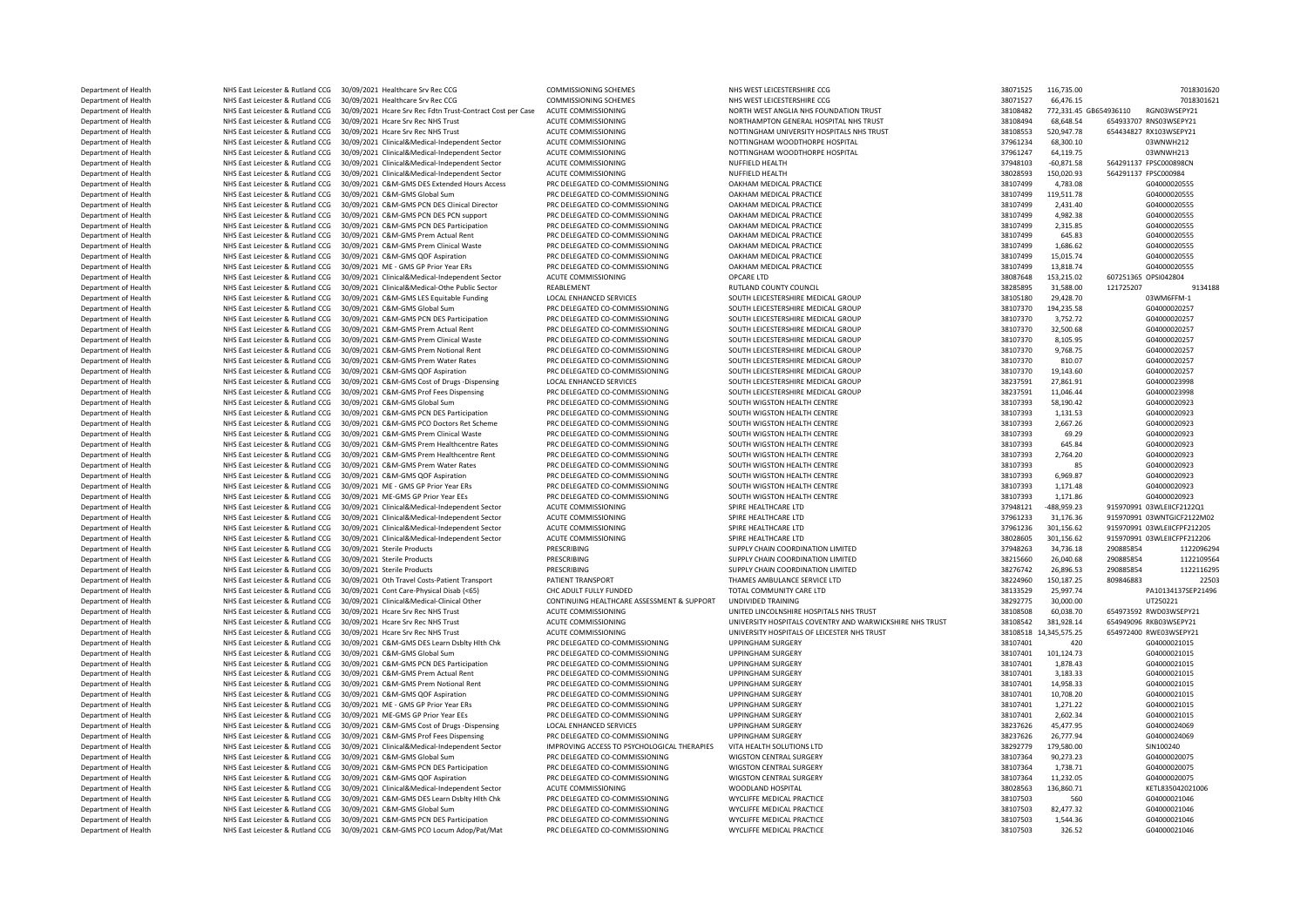Department of Health NHS East Leicester & Rutland CCG 30/09/2021 Healthcare Srv Rec CCG COMMISSIONING SCHEMES NHS WEST LEICESTERSHIRE CCG NET LEICESTERSHIRE CCG 2001/2012 116,735.00 7018301621 7018301621 7018301621 7018301 Department of Health NHS East Leicester & Rutland CCG 30/09/2021 Healthcare Srv Rec CCG COMMISSIONING SCHEMES NHS WEST LEICESTERSHIRE CCG NEWSTONING SCHEMES NHS PRODUCES TO A 2010 2018301 38071527 66,476.15 701831 38071527 Department of Health NHS East Leicester & Rutland CCG 30/09/2021 Hcare Srv Rec Fdtn Trust-Contract Cost per Case ACUTE COMMISSIONING NORTH WEST ANGLIA NHS FOUNDATION TRUST NORTH WEST ANGLIA NHS FOUNDATION TRUST 38108482 77 Department of Health NHS East Leicester & Rutland CCG 30/09/2021 Hcare Srv Rec NHS Trust ACUTE COMMISSIONING NORTHAMPTON GENERAL HOSPITAL NHS TRUST 38108494 68,648.54 654933707 RNS03WSEPY21 ACUTE COMMISSIONING NORTHAMPTON Department of Health NHS East Leicester & Rutland CCG 30/09/2021 Hcare Srv Rec NHS Trust ACUTE COMMISSIONING NOTTINGHAM UNIVERSITY HOSPITALS NHS TRUST 38108553 520,947.78 654434827 RX103WSEPY21 Department of Health NHS East Leicester & Rutland CCG 30/09/2021 Clinical&Medical-Independent Sector ACUTE COMMISSIONING NOTTINGHAM WOODTHORPE HOSPITAL 37961234 68,300.10 03WNWH212<br>Department of Health NHS East Leicester & Department of Health NHS East Leicester & Rutland CCG 30/09/2021 Clinical&Medical-Independent Sector ACUTE COMMISSIONING NOTTINGHAM WOODTHORPE HOSPITAL 37961247 64,119.75 03WNWH213<br>Department of Health NHS East Leicester & Department of Health NHS East Leicester & Rutland CCG 30/09/2021 Clinical&Medical-Independent Sector ACUTE COMMISSIONING NUFFIELD HEALTH 37948103 -60,871.58 564291137 FPSC000898CN Department of Health NHS East Leicester & Rutland CCG 30/09/2021 Clinical&Medical-Independent Sector ACUTE COMMISSIONING NUFFIELD HEALTH 38028593 150,020.93 564291137 FPSC000984<br>Department of Health NHS East Leicester & Bu Department of Health NHS East Leicester & Rutland CCG 30/09/2021 C&M-GMS DES Extended Hours Access PRC DELEGATED CO-COMMISSIONING DAKHAM MEDICAL PRACTICE 301000 38107499 4,783.08 604000020555<br>Department of Health NHS East Department of Health NHS East Leicester & Rutland CCG 30/09/2021 C&M-GMS Global Sum PRC DELEGATED CO-COMMISSIONING DAKHAM MEDICAL PRACTICE 3010000 38107499 119,511.78 G04000020555<br>Department of Health NHS East Leicester & Department of Health NHS East Leicester & Rutland CCG 30/09/2021 C&M-GMS PCN DES Clinical Director PRC DELEGATED CO-COMMISSIONING OAKHAM MEDICAL PRACTICE COMMISSIONING DAKHAM MEDICAL PRACTICE DESCRIPTION COMMISSIONING DAKH Department of Health NHS East Leicester & Rutland CCG 30/09/2021 C&M-GMS PCN DES PCN support PRC DELEGATED CO-COMMISSIONING DAKHAM MEDICAL PRACTICE NEED TO ASSASS 38107499 4,982.38 G04000020555 G04000020555 G04000020555 G0  $\begin{array}{l} \text{Department of Health} \qquad \qquad \text{NHS} \qquad \text{BHS} \qquad \text{BHS} \qquad \text{BHS} \qquad \text{BHS} \qquad \text{BHS} \qquad \text{BHS} \qquad \text{DHS} \qquad \text{DHS} \qquad \text{DHS} \qquad \text{DHS} \qquad \text{DHS} \qquad \text{DHS} \qquad \text{DHS} \qquad \text{DHS} \qquad \text{DHS} \qquad \text{DHS} \qquad \text{DHS} \qquad \text{DHS} \qquad \text{DHS} \qquad \text{DHS} \qquad \text{DHS} \qquad$ Department of Health NHS East Leicester & Rutland CCG 30/09/2021 C&M-GMS Prem Actual Rent PRC DELEGATED CO-COMMISSIONING DAKHAM MEDICAL PRACTICE NET SAN ARENT ACTUAL PRODUCES AND SELLEGATED ASSASS AND SELLEGATED ASSASS AND **Department of Health NHS East Leicester & Rutland CCG 30/09/2021 C&M-GMS Prem Clinical Waste PRC DELEGATED CO-COMMISSIONING OAKHAM MEDICAL PRACTICE 3810749 38107499 1,686.62 G04000020555<br>Department of Health NHS East Le** Department of Health NHS East Leicester & Rutland CCG 30/09/2021 C&M-GMS QOF Aspiration PRC DELEGATED CO-COMMISSIONING OAKHAM MEDICAL PRACTICE PROTOCONT SALLON 2010 2010 2010 2010 2010 38107499 13,818.74 G04000020555<br>Depar **Department of Health NHS East Leicester & Rutland CCG 30/09/2021 ME - GMS GP Prior Year ERs** PRC DELEGATED CO-COMMISSIONING OAKHAM MEDICAL PRACTICE 30 Ω= 33107499 13,818.74 G040000205<br>Department of Health NHS East Leice Department of Health MHS East Leicester & Rutland CCG 30/09/2021 Clinical&Medical-Independent Sector ACUTE COMMISSIONING OPCARE LTD 38087648 153,215.02 53087648 153,215.02 607251365 153,215.02 607251365 171 2011 2011 2011 Department of Health NHS East Leicester & Rutland CCG 30/09/2021 Clinical&Medical-Othe Public Sector REABLEMENT<br>Department of Health NHS East Leicester & Rutland CCG 30/09/2021 C&M-GMS LES Equitable Funding LOCAL ENHANCED Department of Health NHS East Leicester & Rutland CCG 30/09/2021 C&M-GMS LES Equitable Funding LOCAL ENHANCED SERVICES SOUTH LEICESTERSHIRE MEDICAL GROUP 38105180 29,428.70 38105180 29,428.70 03WM6FFM-1 03WM6FFM-1 (SCHLES Department of Health NHS East Leicester & Rutland CCG 30/09/2021 C&M-GMS Global Sum PRC DELEGATED CO-COMMISSIONING SOUTH LEICESTERSHIRE MEDICAL GROUP 38107370 194,235.58 G04000020257<br>Department of Health NHS East Leicester Department of Health NHS East Leicester & Rutland CCG 30/09/2021 C&M-GMS PCN DES Participation PRC DELEGATED CO-COMMISSIONING SOUTH LEICESTERSHIRE MEDICAL GROUP 3752.72 3752.72 3752.72 604000020257<br>Department of Health NHS Department of Health NHS East Leicester & Rutland CCG 30/09/2021 C&M-GMS Prem Actual Rent PRC DELEGATED CO-COMMISSIONING SOUTH LEICESTERSHIRE MEDICAL GROUP 38107370 32,500.68 G04000020257<br>Department of Health NHS East Leic NHS East Leicester & Rutland CCG 30/09/2021 C&M-GMS Prem Clinical Waste PRC DELEGATED CO-COMMISSIONING SOUTH LEICESTERSHIRE MEDICAL GROUP 36107 2000002057 38107370 8,105.95 604000020257<br>NHS East Leicester & Rutland CCG 30/ Department of Health NHS East Leicester & Rutland CCG 30/09/2021 C&M-GMS Prem Notional Rent PRC DELEGATED CO-COMMISSIONING SOUTH LEICESTERSHIRE MEDICAL GROUP 38107370 9.768.75 (38107370 9.768.75 Department of Health NHS East Leicester & Rutland CCG 30/09/2021 C&M-GMS Prem Water Rates PRC DELEGATED CO-COMMISSIONING SOUTH LEICESTERSHIRE MEDICAL GROUP 3810.07 3810.07 810.07 G0400002057 Department of Health NHS East Leicester & Rutland CCG 30/09/2021 C&M-GMS QOF Aspiration PRC DELEGATED CO-COMMISSIONING SOUTH LEICESTERSHIRE MEDICAL GROUP 38237591 27,861.91 38237591 27,861.91 504000020257<br>Department of Hea NHS East Leicester & Rutland CCG 30/09/2021 C&M-GMS Cost of Drugs -Dispensing Department of Health NHS East Leicester & Rutland CCG 30/09/2021 C&M-GMS Prof Fees Dispensing PRC DELEGATED CO-COMMISSIONING SOUTH LEICESTERSHIRE MEDICAL GROUP 38237591 11,046.44 604000023998 58327591 11,046.44 G0400002023 Department of Health NHS East Leicester & Rutland CCG 30/09/2021 C&M-GMS Global Sum PRC DELEGATED CO-COMMISSIONING SOUTH WIGSTON HEALTH CENTRE 30107393 58,190.42 504000020923<br>Department of Health NHS East Leicester & Rutla Department of Health NHS East Leicester & Rutland CCG 30/09/2021 C&M-GMS PCN DES Participation PRC DELEGATED CO-COMMISSIONING SOUTH WIGSTON HEALTH CENTRE 38107393 1,131.53 3107393 1,131.53 G04000020923 Department of Health NHS East Leicester & Rutland CCG 30/09/2021 C&M-GMS PCO Doctors Ret Scheme PRC DELEGATED CO-COMMISSIONING SOUTH WIGSTON HEALTH CENTRE 38107393 2,667.26 G0400002023<br>Department of Health NHS East Leicest Department of Health NHS East Leicester & Rutland CCG 30/09/2021 C&M-GMS Prem Clinical Waste PRC DELEGATED CO-COMMISSIONING SOUTH WIGSTON HEALTH CENTRE SOUTH 2011 PRO AND 2012 2023 58107393 69.29 604000020923<br>Department of Department of Health NHS East Leicester & Rutland CCG 30/09/2021 C&M-GMS Prem Healthcentre Rates PRC DELEGATED CO-COMMISSIONING SOUTH WIGSTON HEALTH CENTRE 38107393 645.84 G0400002023<br>Department of Health NHS East Leiceste Department of Health NHS East Leicester & Rutland CCG 30/09/2021 C&M-GMS Prem Healthcentre Rent PRC DELEGATED CO-COMMISSIONING SOUTH WIGSTON HEALTH CENTRE SOUND AST 2,764.20 38107393 2,764.20 G04000020923 30107393 2,764.20 Department of Health NHS East Leicester & Rutland CCG 30/09/2021 C&M-GMS Prem Water Rates PRC DELEGATED CO-COMMISSIONING SOUTH WIGSTON HEALTH CENTRE 38107393 85 G0400020233<br>Department of Health NHS East Leicester & Butland Department of Health NHS East Leicester & Rutland CCG 30/09/2021 C&M-GMS QOF Aspiration PRC DELEGATED CO-COMMISSIONING SOUTH WIGSTON HEALTH CENTRE 38107393 5,969.87 6,969.87 G0400020923<br>Department of Health NHS East Leices Department of Health NHS East Leicester & Rutland CCG 30/09/2021 ME - GMS GP Prior Year ERs PRC DELEGATED CO-COMMISSIONING SOUTH WIGSTON HEALTH CENTRE STREET STREET SAULT 38107393 1,171.48 G0400002023<br>Department of Health ية Department of Health MHS East Leicester & Rutland CCG 30/09/2021 ME-GMS GP Prior Year EEs PRC DELEGATED CO-COMMISSIONING SOUTH WIGSTON HEALTH CENTRE 33107393 1,171.86 G04000020923<br>Department of Health NHS East Leices Department of Health NHS East Leicester & Rutland CCG 30/09/2021 Clinical&Medical-Independent Sector ACUTE COMMISSIONING SPIRE HEALTHCARE LTD 30 SPIRE HEALTHCARE LTD 37948121 -488,959.23 915970991 03WLEIICF2122Q1 -488,959. Department of Health NHS East Leicester & Rutland CCG 30/09/2021 Clinical&Medical-Independent Sector ACUTE COMMISSIONING SPIRE HEALTHCARE LTD 37961233 31,176.36 915970991 03WNTGICF2122M02<br>Department of Health NHS East Leic Department of Health NHS East Leicester & Rutland CCG 30/09/2021 Clinical&Medical-Independent Sector ACUTE COMMISSIONING SPIRE HEALTHCARE LTD 37961236 301,156.62 915970991 03WLEIICFPF212205 301,156.62 915970991 03WLEIICPF7 Department of Health NHS East Leicester & Rutland CCG 30/09/2021 Clinical&Medical-Independent Sector ACUTE COMMISSIONING SPIRE HEALTHCARE LTD SPIRE HEALTHCARE LTD 38028605 301,156.62 915970991 03WLEIICFPF212206 موجب المستح Department of Health MHS East Leicester & Rutland CCG 30/09/2021 Sterile Products PRESCRIBING PRESCRIBING SUPPLY CHAIN COORDINATION LIMITED 37948263 34,736.18 290885854 1122096294 1122096294 1122096294 112310564 112310564 Department of Health Network NHS East Leicester & Rutland CCG 30/09/2021 Sterile Products Department of Health NHS East Leicester & Rutland CCG 30/09/2021 Sterile Products PRESCRIBING PRESCRIBING SUPPLY CHAIN COORDINATION LIMITED 38276742 26,896.53 290885854 1122116295<br>Department of Health NHS East Leicester & Department of Health NHS East Leicester & Rutland CCG 30/09/2021 Oth Travel Costs-Patient Transport PATIENT TRANSPORT THAMES AMBULANCE SERVICE LTD 38224960 150,187.25 209846883 22503<br>Department of Health NHS East Leicester Department of Health NHS East Leicester & Rutland CCG 30/09/2021 Cont Care-Physical Disab (<65) CHC ADULT FULLY FUNDED TOTAL COMMUNITY CARE LTD 3000000 38133529 25,997.74 PA10134137SEP21496<br>Department of Health NHS East Le NHS East Leicester & Rutland CCG 30/09/2021 Clinical&Medical-Clinical Other Department of Health NHS East Leicester & Rutland CCG 30/09/2021 Hospital Syles NHS Trust ACUTE COMMISSIONING UNITED UNITED UNCOLNISITED INCOLNISITED TRUST ACCORDING ACUTE 28108508 60,038.70 654973592 RWD03WSEPY21 Department of Health NHS East Leicester & Rutland CCG 30/09/2021 Hcare Srv Rec NHS Trust ACUTE COMMISSIONING NUMERSITY HOSPITALS COVENTRY AND WARWICKSHIRE NHS TRUST 38108542 381,928.14 654949096 RKB03WSEPY21 ARE AND ARE AN Department of Health NHS East Leicester & Rutland CCG 30/09/2021 Hcare Srv Rec NHS Trust ACUTE COMMISSIONING UNIVERSITY HOSPITALS OF LEICESTER NHS TRUST 38108518 14,345,575.25 Department of Health NHS East Leicester & Rutland CCG 30/09/2021 C&M-GMS DES Learn Dsblty Hlth Chk PRC DELEGATED CO-COMMISSIONING UPPINGHAM SURGERY STAT SELLEGATED ASSAULT AND A SURGERY STATED AND REST LEGATED AND REST LEG Department of Health NHS East Leicester & Rutland CCG 30/09/2021 C&M-GMS Global Sum PRC DELEGATED CO-COMMISSIONING UPPINGHAM SURGERY 38107401 Department of Health NHS East Leicester & Rutland CCG 30/09/2021 C&M-GMS PCN DES Participation PRC DELEGATED CO-COMMISSIONING UPPINGHAM SURGERY 38107401 1,878.43 38107401 1,878.43 G04000021015 Department of Health NHS East Leicester & Rutland CCG 30/09/2021 C&M-GMS Prem Actual Rent PRC DELEGATED CO-COMMISSIONING UPPINGHAM SURGERY 38107401 3,183.33 33 G04000021015<br>Department of Health NHS East Leicester & Rutland Department of Health NHS East Leicester & Rutland CCG 30/09/2021 C&M-GMS Prem Notional Rent PRC DELEGATED CO-COMMISSIONING UPPINGHAM SURGERY STREAM DEPARTED ASSASS 28107401 14,958.33 GDEN 24,958.33 GDEN COMMISSIONING DEPAR Department of Health NHS East Leicester & Rutland CCG 30/09/2021 C&M-GMS QOF Aspiration PRC DELEGATED CO-COMMISSIONING UPPINGHAM SURGERY STAND RED TREATHED ASSAUTED ASSAUTED AND RED ASSAUTED AND RED ENGLARED AND RED ENGLAR Department of Health NHS East Leicester & Rutland CCG 30/09/2021 ME - GMS GP Prior Year ERs PRC DELEGATED CO-COMMISSIONING UPPINGHAM SURGERY STAT SERIEST SALLONG AND A STATED AND A STATED AND A STATED AND A STATED AND A ST Department of Health NHS East Leicester & Rutland CCG 30/09/2021 ME-GMS GP Prior Year EEs PRC DELEGATED CO-COMMISSIONING UPPINGHAM SURGERY 38107401 2,602.34 38107401 2,602.34 G04000021015<br>Department of Health NHS East Leic Department of Health NHS East Leicester & Rutland CCG 30/09/2021 C&M-GMS Cost of Drugs -Dispensing LOCAL ENHANCED SERVICES UPPINGHAM SURGERY 38237626 45,477.95 38237626 45,477.95 G04000024069 38237626 45,477.95 G0400002406 Department of Health NHS East Leicester & Rutland CCG 30/09/2021 C&M-GMS Prof Fees Dispensing PRC DELEGATED CO-COMMISSIONING UPPINGHAM SURGERY 30000024 38237626 26,777.94 604000024<br>Department of Health NHS Eart Leicester & Department of Health NHS East Leicester & Rutland CCG 30/09/2021 Clinical&Medical-Independent Sector IMPROVING ACCESS TO PSYCHOLOGICAL THERAPIES VITA HEALTH SOLUTIONS LTD SECTOR SECTOR 38292779 179,580.00 SIN100240<br>Departm Department of Health NHS East Leicester & Rutland CCG 30/09/2021 C&M-GMS Global Sum PRC DELEGATED CO-COMMISSIONING WIGSTON CENTRAL SURGERY STATED TO A SA107364 90,273.23 G04000020075<br>Department of Health NHS East Leicester Department of Health NHS East Leicester & Rutland CCG 30/09/2021 C&M-GMS PCN DES Participation PRC DELEGATED CO-COMMISSIONING WIGSTON CENTRAL SURGERY 38107364 1,738.71 G04000020075<br>Department of Health NHS East Leicester & DREPARTMENT OF HEALTH NET HEALTH NET ASSESSED AS PROPERTY ASSESSED OF A SPIRATION **Department of Health MHS East Leicester & Rutland CCG 30/09/2021 Clinical&Medical-Independent Sector ACUTE COMMISSIONING WOODLAND HOSPITAL 39902511 38028563 136,860.71 KETL835042021006<br>Department of Health MHS East Leic** Department of Health NHS East Leicester & Rutland CCG 30/09/2021 C&M-GMS DES Learn Dsblty Hlth Chk PRC DELEGATED CO-COMMISSIONING WYCLIFFE MEDICAL PRACTICE 38107503 560 GO4000021046 GO4000021046 Department of Health MHS East Leicester & Rutland CCG 30/09/2021 C&M-GMS Global Sum PRC DELEGATED CO-COMMISSIONING WYCLIFFE MEDICAL PRACTICE NEED EAST OF SACTICE 3010703 82,477.32 GO4000021046<br>Department of Health MHS East DES EAST Leicester & Rutland CCG 30/09/2021 C&M-GMS PCN DES Participation PRC DELEGATED CO-COMMISSIONING WYCLIFFE MEDICAL PRACTICE 38107503 3.544.36 Department of Health NHS East Leicester & Rutland CCG 30/09/2021 C&M-GMS PCO Locum Adop/Pat/Mat PRC DELEGATED CO-COMMISSIONING WYCLIFFE MEDICAL PRACTICE 38107503 326.52 326.52 G04000021046